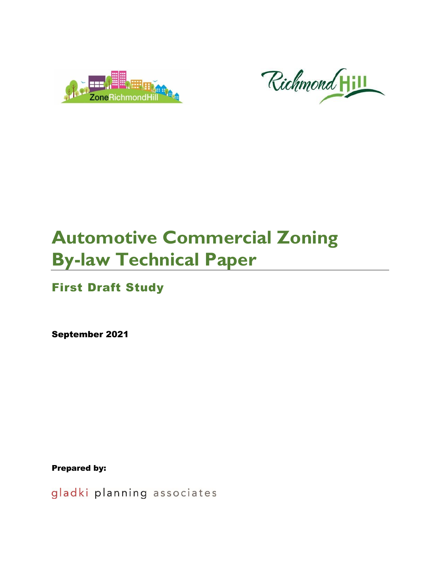



# **Automotive Commercial Zoning By-law Technical Paper**

# First Draft Study

September 2021

Prepared by:

gladki planning associates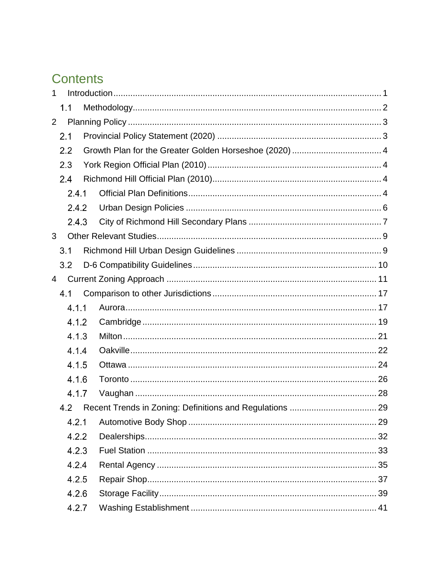# **Contents**

| 1 |       |  |  |
|---|-------|--|--|
|   | 1.1   |  |  |
| 2 |       |  |  |
|   | 2.1   |  |  |
|   | 2.2   |  |  |
|   | 2.3   |  |  |
|   | 2.4   |  |  |
|   | 2.4.1 |  |  |
|   | 2.4.2 |  |  |
|   | 2.4.3 |  |  |
| 3 |       |  |  |
|   | 3.1   |  |  |
|   | 3.2   |  |  |
| 4 |       |  |  |
|   | 4.1   |  |  |
|   | 4.1.1 |  |  |
|   | 4.1.2 |  |  |
|   | 4.1.3 |  |  |
|   | 4.1.4 |  |  |
|   | 4.1.5 |  |  |
|   | 4.1.6 |  |  |
|   | 4.1.7 |  |  |
|   |       |  |  |
|   | 4.2.1 |  |  |
|   | 4.2.2 |  |  |
|   | 4.2.3 |  |  |
|   | 4.2.4 |  |  |
|   | 4.2.5 |  |  |
|   | 4.2.6 |  |  |
|   | 4.2.7 |  |  |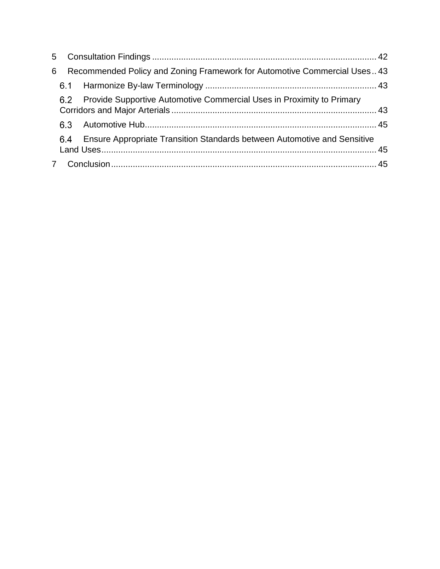| 6 |     | Recommended Policy and Zoning Framework for Automotive Commercial Uses 43       |  |
|---|-----|---------------------------------------------------------------------------------|--|
|   |     |                                                                                 |  |
|   |     | 6.2 Provide Supportive Automotive Commercial Uses in Proximity to Primary       |  |
|   |     |                                                                                 |  |
|   | 6.4 | <b>Ensure Appropriate Transition Standards between Automotive and Sensitive</b> |  |
|   |     |                                                                                 |  |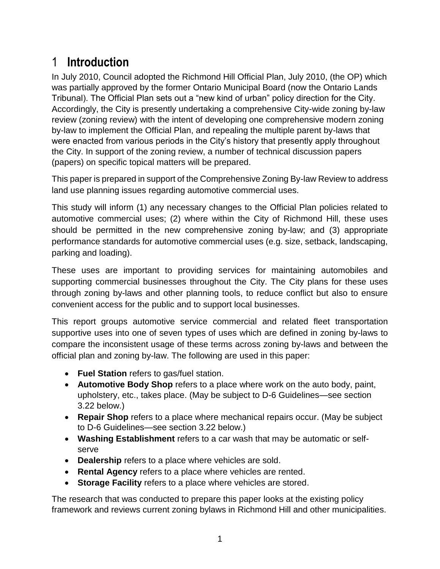# <span id="page-3-0"></span>1 **Introduction**

In July 2010, Council adopted the Richmond Hill Official Plan, July 2010, (the OP) which was partially approved by the former Ontario Municipal Board (now the Ontario Lands Tribunal). The Official Plan sets out a "new kind of urban" policy direction for the City. Accordingly, the City is presently undertaking a comprehensive City-wide zoning by-law review (zoning review) with the intent of developing one comprehensive modern zoning by-law to implement the Official Plan, and repealing the multiple parent by-laws that were enacted from various periods in the City's history that presently apply throughout the City. In support of the zoning review, a number of technical discussion papers (papers) on specific topical matters will be prepared.

This paper is prepared in support of the Comprehensive Zoning By-law Review to address land use planning issues regarding automotive commercial uses.

This study will inform (1) any necessary changes to the Official Plan policies related to automotive commercial uses; (2) where within the City of Richmond Hill, these uses should be permitted in the new comprehensive zoning by-law; and (3) appropriate performance standards for automotive commercial uses (e.g. size, setback, landscaping, parking and loading).

These uses are important to providing services for maintaining automobiles and supporting commercial businesses throughout the City. The City plans for these uses through zoning by-laws and other planning tools, to reduce conflict but also to ensure convenient access for the public and to support local businesses.

This report groups automotive service commercial and related fleet transportation supportive uses into one of seven types of uses which are defined in zoning by-laws to compare the inconsistent usage of these terms across zoning by-laws and between the official plan and zoning by-law. The following are used in this paper:

- **Fuel Station** refers to gas/fuel station.
- **Automotive Body Shop** refers to a place where work on the auto body, paint, upholstery, etc., takes place. (May be subject to D-6 Guidelines—see section 3.22 below.)
- **Repair Shop** refers to a place where mechanical repairs occur. (May be subject to D-6 Guidelines—see section 3.22 below.)
- **Washing Establishment** refers to a car wash that may be automatic or selfserve
- **Dealership** refers to a place where vehicles are sold.
- **Rental Agency** refers to a place where vehicles are rented.
- **Storage Facility** refers to a place where vehicles are stored.

The research that was conducted to prepare this paper looks at the existing policy framework and reviews current zoning bylaws in Richmond Hill and other municipalities.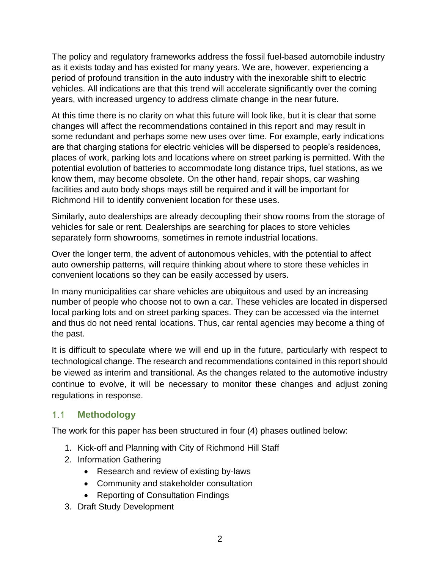The policy and regulatory frameworks address the fossil fuel-based automobile industry as it exists today and has existed for many years. We are, however, experiencing a period of profound transition in the auto industry with the inexorable shift to electric vehicles. All indications are that this trend will accelerate significantly over the coming years, with increased urgency to address climate change in the near future.

At this time there is no clarity on what this future will look like, but it is clear that some changes will affect the recommendations contained in this report and may result in some redundant and perhaps some new uses over time. For example, early indications are that charging stations for electric vehicles will be dispersed to people's residences, places of work, parking lots and locations where on street parking is permitted. With the potential evolution of batteries to accommodate long distance trips, fuel stations, as we know them, may become obsolete. On the other hand, repair shops, car washing facilities and auto body shops mays still be required and it will be important for Richmond Hill to identify convenient location for these uses.

Similarly, auto dealerships are already decoupling their show rooms from the storage of vehicles for sale or rent. Dealerships are searching for places to store vehicles separately form showrooms, sometimes in remote industrial locations.

Over the longer term, the advent of autonomous vehicles, with the potential to affect auto ownership patterns, will require thinking about where to store these vehicles in convenient locations so they can be easily accessed by users.

In many municipalities car share vehicles are ubiquitous and used by an increasing number of people who choose not to own a car. These vehicles are located in dispersed local parking lots and on street parking spaces. They can be accessed via the internet and thus do not need rental locations. Thus, car rental agencies may become a thing of the past.

It is difficult to speculate where we will end up in the future, particularly with respect to technological change. The research and recommendations contained in this report should be viewed as interim and transitional. As the changes related to the automotive industry continue to evolve, it will be necessary to monitor these changes and adjust zoning regulations in response.

#### <span id="page-4-0"></span> $1.1<sub>1</sub>$ **Methodology**

The work for this paper has been structured in four (4) phases outlined below:

- 1. Kick-off and Planning with City of Richmond Hill Staff
- 2. Information Gathering
	- Research and review of existing by-laws
	- Community and stakeholder consultation
	- Reporting of Consultation Findings
- 3. Draft Study Development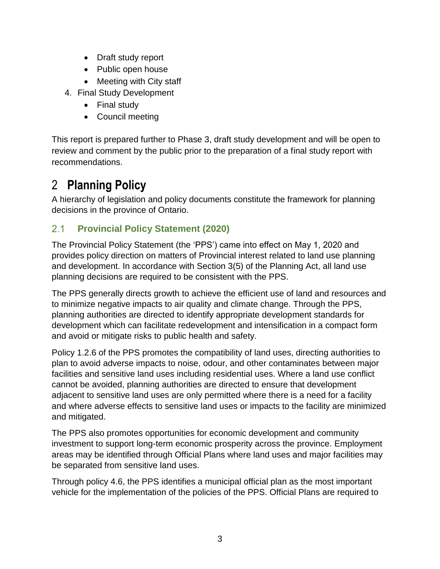- Draft study report
- Public open house
- Meeting with City staff
- 4. Final Study Development
	- Final study
	- Council meeting

This report is prepared further to Phase 3, draft study development and will be open to review and comment by the public prior to the preparation of a final study report with recommendations.

# <span id="page-5-0"></span>2 **Planning Policy**

A hierarchy of legislation and policy documents constitute the framework for planning decisions in the province of Ontario.

#### <span id="page-5-1"></span> $2.1$ **Provincial Policy Statement (2020)**

The Provincial Policy Statement (the 'PPS') came into effect on May 1, 2020 and provides policy direction on matters of Provincial interest related to land use planning and development. In accordance with Section 3(5) of the Planning Act, all land use planning decisions are required to be consistent with the PPS.

The PPS generally directs growth to achieve the efficient use of land and resources and to minimize negative impacts to air quality and climate change. Through the PPS, planning authorities are directed to identify appropriate development standards for development which can facilitate redevelopment and intensification in a compact form and avoid or mitigate risks to public health and safety.

Policy 1.2.6 of the PPS promotes the compatibility of land uses, directing authorities to plan to avoid adverse impacts to noise, odour, and other contaminates between major facilities and sensitive land uses including residential uses. Where a land use conflict cannot be avoided, planning authorities are directed to ensure that development adjacent to sensitive land uses are only permitted where there is a need for a facility and where adverse effects to sensitive land uses or impacts to the facility are minimized and mitigated.

The PPS also promotes opportunities for economic development and community investment to support long-term economic prosperity across the province. Employment areas may be identified through Official Plans where land uses and major facilities may be separated from sensitive land uses.

Through policy 4.6, the PPS identifies a municipal official plan as the most important vehicle for the implementation of the policies of the PPS. Official Plans are required to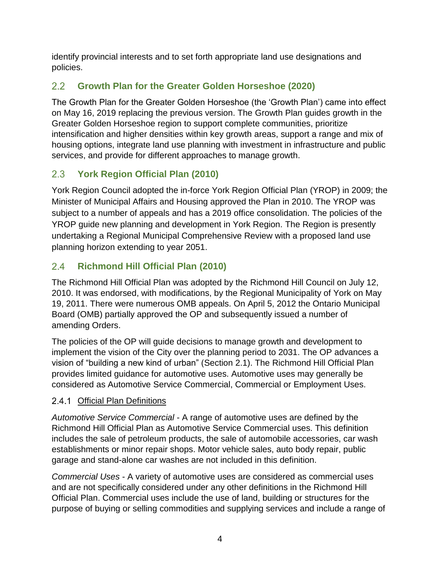identify provincial interests and to set forth appropriate land use designations and policies.

#### <span id="page-6-0"></span> $2.2$ **Growth Plan for the Greater Golden Horseshoe (2020)**

The Growth Plan for the Greater Golden Horseshoe (the 'Growth Plan') came into effect on May 16, 2019 replacing the previous version. The Growth Plan guides growth in the Greater Golden Horseshoe region to support complete communities, prioritize intensification and higher densities within key growth areas, support a range and mix of housing options, integrate land use planning with investment in infrastructure and public services, and provide for different approaches to manage growth.

#### <span id="page-6-1"></span> $2.3$ **York Region Official Plan (2010)**

York Region Council adopted the in-force York Region Official Plan (YROP) in 2009; the Minister of Municipal Affairs and Housing approved the Plan in 2010. The YROP was subject to a number of appeals and has a 2019 office consolidation. The policies of the YROP guide new planning and development in York Region. The Region is presently undertaking a Regional Municipal Comprehensive Review with a proposed land use planning horizon extending to year 2051.

#### <span id="page-6-2"></span> $2.4$ **Richmond Hill Official Plan (2010)**

The Richmond Hill Official Plan was adopted by the Richmond Hill Council on July 12, 2010. It was endorsed, with modifications, by the Regional Municipality of York on May 19, 2011. There were numerous OMB appeals. On April 5, 2012 the Ontario Municipal Board (OMB) partially approved the OP and subsequently issued a number of amending Orders.

The policies of the OP will guide decisions to manage growth and development to implement the vision of the City over the planning period to 2031. The OP advances a vision of "building a new kind of urban" (Section 2.1). The Richmond Hill Official Plan provides limited guidance for automotive uses. Automotive uses may generally be considered as Automotive Service Commercial, Commercial or Employment Uses.

## <span id="page-6-3"></span>2.4.1 Official Plan Definitions

*Automotive Service Commercial* - A range of automotive uses are defined by the Richmond Hill Official Plan as Automotive Service Commercial uses. This definition includes the sale of petroleum products, the sale of automobile accessories, car wash establishments or minor repair shops. Motor vehicle sales, auto body repair, public garage and stand-alone car washes are not included in this definition.

*Commercial Uses* - A variety of automotive uses are considered as commercial uses and are not specifically considered under any other definitions in the Richmond Hill Official Plan. Commercial uses include the use of land, building or structures for the purpose of buying or selling commodities and supplying services and include a range of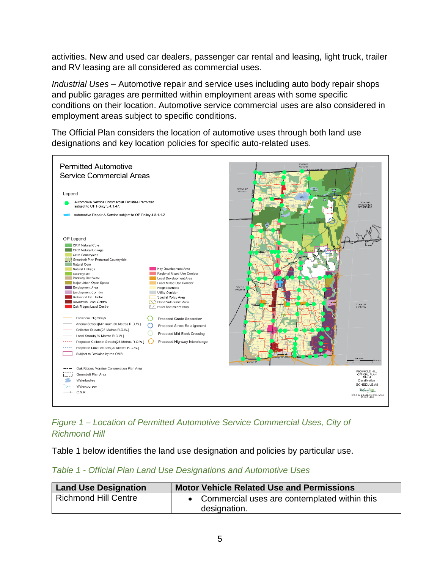activities. New and used car dealers, passenger car rental and leasing, light truck, trailer and RV leasing are all considered as commercial uses.

*Industrial Uses* – Automotive repair and service uses including auto body repair shops and public garages are permitted within employment areas with some specific conditions on their location. Automotive service commercial uses are also considered in employment areas subject to specific conditions.

The Official Plan considers the location of automotive uses through both land use designations and key location policies for specific auto-related uses.



*Figure 1 – Location of Permitted Automotive Service Commercial Uses, City of Richmond Hill*

Table 1 below identifies the land use designation and policies by particular use.

| Table 1 - Official Plan Land Use Designations and Automotive Uses |  |
|-------------------------------------------------------------------|--|
|-------------------------------------------------------------------|--|

| <b>Land Use Designation</b> | <b>Motor Vehicle Related Use and Permissions</b> |
|-----------------------------|--------------------------------------------------|
| <b>Richmond Hill Centre</b> | • Commercial uses are contemplated within this   |
|                             | designation.                                     |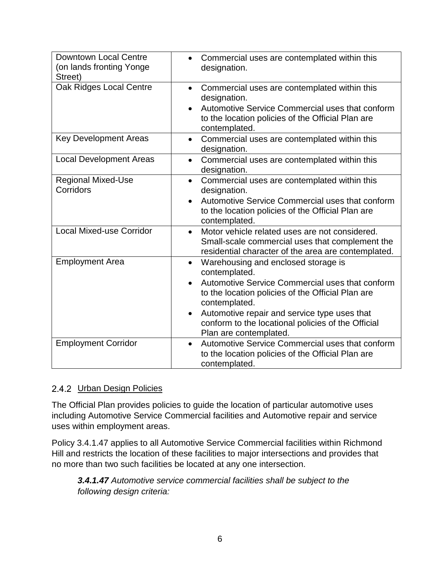| <b>Downtown Local Centre</b><br>(on lands fronting Yonge<br>Street) | Commercial uses are contemplated within this<br>designation.                                                                                                                                                                                                                                                                                         |
|---------------------------------------------------------------------|------------------------------------------------------------------------------------------------------------------------------------------------------------------------------------------------------------------------------------------------------------------------------------------------------------------------------------------------------|
| Oak Ridges Local Centre                                             | Commercial uses are contemplated within this<br>$\bullet$<br>designation.<br>Automotive Service Commercial uses that conform<br>$\bullet$<br>to the location policies of the Official Plan are<br>contemplated.                                                                                                                                      |
| <b>Key Development Areas</b>                                        | Commercial uses are contemplated within this<br>$\bullet$<br>designation.                                                                                                                                                                                                                                                                            |
| <b>Local Development Areas</b>                                      | Commercial uses are contemplated within this<br>$\bullet$<br>designation.                                                                                                                                                                                                                                                                            |
| <b>Regional Mixed-Use</b><br>Corridors                              | Commercial uses are contemplated within this<br>$\bullet$<br>designation.<br>Automotive Service Commercial uses that conform<br>$\bullet$<br>to the location policies of the Official Plan are<br>contemplated.                                                                                                                                      |
| <b>Local Mixed-use Corridor</b>                                     | Motor vehicle related uses are not considered.<br>$\bullet$<br>Small-scale commercial uses that complement the<br>residential character of the area are contemplated.                                                                                                                                                                                |
| <b>Employment Area</b>                                              | Warehousing and enclosed storage is<br>$\bullet$<br>contemplated.<br>Automotive Service Commercial uses that conform<br>$\bullet$<br>to the location policies of the Official Plan are<br>contemplated.<br>Automotive repair and service type uses that<br>$\bullet$<br>conform to the locational policies of the Official<br>Plan are contemplated. |
| <b>Employment Corridor</b>                                          | Automotive Service Commercial uses that conform<br>$\bullet$<br>to the location policies of the Official Plan are<br>contemplated.                                                                                                                                                                                                                   |

#### <span id="page-8-0"></span>2.4.2 Urban Design Policies

The Official Plan provides policies to guide the location of particular automotive uses including Automotive Service Commercial facilities and Automotive repair and service uses within employment areas.

Policy 3.4.1.47 applies to all Automotive Service Commercial facilities within Richmond Hill and restricts the location of these facilities to major intersections and provides that no more than two such facilities be located at any one intersection.

*3.4.1.47 Automotive service commercial facilities shall be subject to the following design criteria:*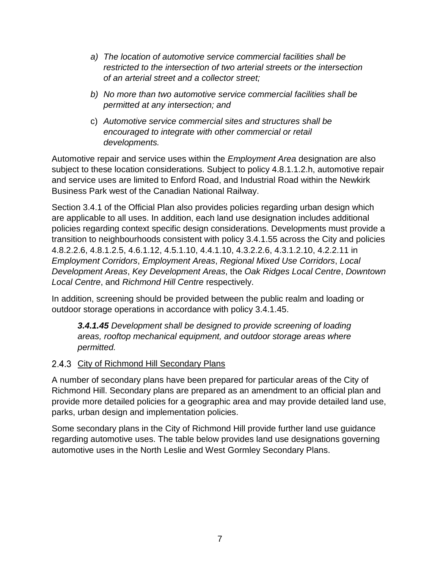- *a) The location of automotive service commercial facilities shall be restricted to the intersection of two arterial streets or the intersection of an arterial street and a collector street;*
- *b) No more than two automotive service commercial facilities shall be permitted at any intersection; and*
- c) *Automotive service commercial sites and structures shall be encouraged to integrate with other commercial or retail developments.*

Automotive repair and service uses within the *Employment Area* designation are also subject to these location considerations. Subject to policy 4.8.1.1.2.h, automotive repair and service uses are limited to Enford Road, and Industrial Road within the Newkirk Business Park west of the Canadian National Railway.

Section 3.4.1 of the Official Plan also provides policies regarding urban design which are applicable to all uses. In addition, each land use designation includes additional policies regarding context specific design considerations. Developments must provide a transition to neighbourhoods consistent with policy 3.4.1.55 across the City and policies 4.8.2.2.6, 4.8.1.2.5, 4.6.1.12, 4.5.1.10, 4.4.1.10, 4.3.2.2.6, 4.3.1.2.10, 4.2.2.11 in *Employment Corridors*, *Employment Areas*, *Regional Mixed Use Corridors*, *Local Development Areas*, *Key Development Areas*, the *Oak Ridges Local Centre*, *Downtown Local Centre*, and *Richmond Hill Centre* respectively.

In addition, screening should be provided between the public realm and loading or outdoor storage operations in accordance with policy 3.4.1.45.

*3.4.1.45 Development shall be designed to provide screening of loading areas, rooftop mechanical equipment, and outdoor storage areas where permitted.*

## <span id="page-9-0"></span>2.4.3 City of Richmond Hill Secondary Plans

A number of secondary plans have been prepared for particular areas of the City of Richmond Hill. Secondary plans are prepared as an amendment to an official plan and provide more detailed policies for a geographic area and may provide detailed land use, parks, urban design and implementation policies.

Some secondary plans in the City of Richmond Hill provide further land use guidance regarding automotive uses. The table below provides land use designations governing automotive uses in the North Leslie and West Gormley Secondary Plans.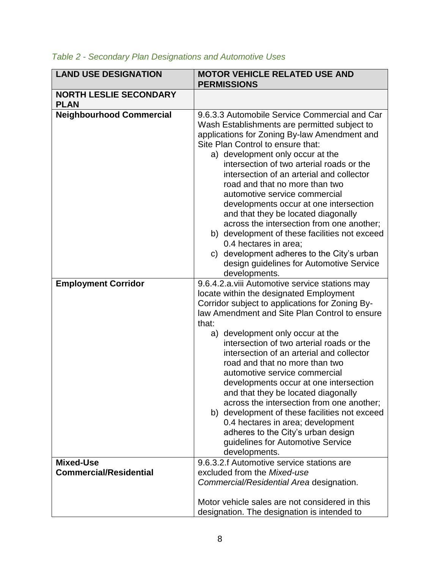| <b>LAND USE DESIGNATION</b>                       | <b>MOTOR VEHICLE RELATED USE AND</b><br><b>PERMISSIONS</b>                                                                                                                                                                                                                                                                                                                                                                                                                                                                                                                                                                                                                                                              |
|---------------------------------------------------|-------------------------------------------------------------------------------------------------------------------------------------------------------------------------------------------------------------------------------------------------------------------------------------------------------------------------------------------------------------------------------------------------------------------------------------------------------------------------------------------------------------------------------------------------------------------------------------------------------------------------------------------------------------------------------------------------------------------------|
| <b>NORTH LESLIE SECONDARY</b><br><b>PLAN</b>      |                                                                                                                                                                                                                                                                                                                                                                                                                                                                                                                                                                                                                                                                                                                         |
| <b>Neighbourhood Commercial</b>                   | 9.6.3.3 Automobile Service Commercial and Car<br>Wash Establishments are permitted subject to<br>applications for Zoning By-law Amendment and<br>Site Plan Control to ensure that:<br>a) development only occur at the<br>intersection of two arterial roads or the<br>intersection of an arterial and collector<br>road and that no more than two<br>automotive service commercial<br>developments occur at one intersection<br>and that they be located diagonally<br>across the intersection from one another;<br>b) development of these facilities not exceed<br>0.4 hectares in area;<br>c) development adheres to the City's urban<br>design guidelines for Automotive Service<br>developments.                  |
| <b>Employment Corridor</b>                        | 9.6.4.2.a.viii Automotive service stations may<br>locate within the designated Employment<br>Corridor subject to applications for Zoning By-<br>law Amendment and Site Plan Control to ensure<br>that:<br>a) development only occur at the<br>intersection of two arterial roads or the<br>intersection of an arterial and collector<br>road and that no more than two<br>automotive service commercial<br>developments occur at one intersection<br>and that they be located diagonally<br>across the intersection from one another;<br>b) development of these facilities not exceed<br>0.4 hectares in area; development<br>adheres to the City's urban design<br>guidelines for Automotive Service<br>developments. |
| <b>Mixed-Use</b><br><b>Commercial/Residential</b> | 9.6.3.2.f Automotive service stations are<br>excluded from the Mixed-use<br>Commercial/Residential Area designation.                                                                                                                                                                                                                                                                                                                                                                                                                                                                                                                                                                                                    |
|                                                   | Motor vehicle sales are not considered in this<br>designation. The designation is intended to                                                                                                                                                                                                                                                                                                                                                                                                                                                                                                                                                                                                                           |

## *Table 2 - Secondary Plan Designations and Automotive Uses*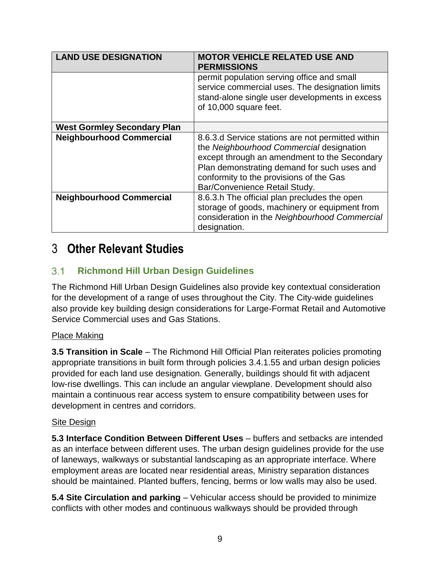| <b>LAND USE DESIGNATION</b>        | <b>MOTOR VEHICLE RELATED USE AND</b><br><b>PERMISSIONS</b>                                                                                                                                                                                                               |
|------------------------------------|--------------------------------------------------------------------------------------------------------------------------------------------------------------------------------------------------------------------------------------------------------------------------|
|                                    | permit population serving office and small<br>service commercial uses. The designation limits<br>stand-alone single user developments in excess<br>of 10,000 square feet.                                                                                                |
| <b>West Gormley Secondary Plan</b> |                                                                                                                                                                                                                                                                          |
| <b>Neighbourhood Commercial</b>    | 8.6.3.d Service stations are not permitted within<br>the Neighbourhood Commercial designation<br>except through an amendment to the Secondary<br>Plan demonstrating demand for such uses and<br>conformity to the provisions of the Gas<br>Bar/Convenience Retail Study. |
| <b>Neighbourhood Commercial</b>    | 8.6.3.h The official plan precludes the open<br>storage of goods, machinery or equipment from<br>consideration in the Neighbourhood Commercial<br>designation.                                                                                                           |

# <span id="page-11-0"></span>3 **Other Relevant Studies**

#### <span id="page-11-1"></span> $3.1$ **Richmond Hill Urban Design Guidelines**

The Richmond Hill Urban Design Guidelines also provide key contextual consideration for the development of a range of uses throughout the City. The City-wide guidelines also provide key building design considerations for Large-Format Retail and Automotive Service Commercial uses and Gas Stations.

## Place Making

**3.5 Transition in Scale** – The Richmond Hill Official Plan reiterates policies promoting appropriate transitions in built form through policies 3.4.1.55 and urban design policies provided for each land use designation. Generally, buildings should fit with adjacent low-rise dwellings. This can include an angular viewplane. Development should also maintain a continuous rear access system to ensure compatibility between uses for development in centres and corridors.

#### **Site Design**

**5.3 Interface Condition Between Different Uses** – buffers and setbacks are intended as an interface between different uses. The urban design guidelines provide for the use of laneways, walkways or substantial landscaping as an appropriate interface. Where employment areas are located near residential areas, Ministry separation distances should be maintained. Planted buffers, fencing, berms or low walls may also be used.

**5.4 Site Circulation and parking** – Vehicular access should be provided to minimize conflicts with other modes and continuous walkways should be provided through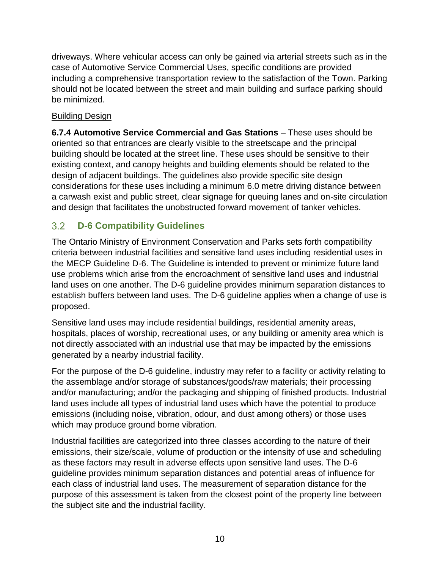driveways. Where vehicular access can only be gained via arterial streets such as in the case of Automotive Service Commercial Uses, specific conditions are provided including a comprehensive transportation review to the satisfaction of the Town. Parking should not be located between the street and main building and surface parking should be minimized.

#### Building Design

**6.7.4 Automotive Service Commercial and Gas Stations** – These uses should be oriented so that entrances are clearly visible to the streetscape and the principal building should be located at the street line. These uses should be sensitive to their existing context, and canopy heights and building elements should be related to the design of adjacent buildings. The guidelines also provide specific site design considerations for these uses including a minimum 6.0 metre driving distance between a carwash exist and public street, clear signage for queuing lanes and on-site circulation and design that facilitates the unobstructed forward movement of tanker vehicles.

#### <span id="page-12-0"></span> $3.2$ **D-6 Compatibility Guidelines**

The Ontario Ministry of Environment Conservation and Parks sets forth compatibility criteria between industrial facilities and sensitive land uses including residential uses in the MECP Guideline D-6. The Guideline is intended to prevent or minimize future land use problems which arise from the encroachment of sensitive land uses and industrial land uses on one another. The D-6 guideline provides minimum separation distances to establish buffers between land uses. The D-6 guideline applies when a change of use is proposed.

Sensitive land uses may include residential buildings, residential amenity areas, hospitals, places of worship, recreational uses, or any building or amenity area which is not directly associated with an industrial use that may be impacted by the emissions generated by a nearby industrial facility.

For the purpose of the D-6 guideline, industry may refer to a facility or activity relating to the assemblage and/or storage of substances/goods/raw materials; their processing and/or manufacturing; and/or the packaging and shipping of finished products. Industrial land uses include all types of industrial land uses which have the potential to produce emissions (including noise, vibration, odour, and dust among others) or those uses which may produce ground borne vibration.

Industrial facilities are categorized into three classes according to the nature of their emissions, their size/scale, volume of production or the intensity of use and scheduling as these factors may result in adverse effects upon sensitive land uses. The D-6 guideline provides minimum separation distances and potential areas of influence for each class of industrial land uses. The measurement of separation distance for the purpose of this assessment is taken from the closest point of the property line between the subject site and the industrial facility.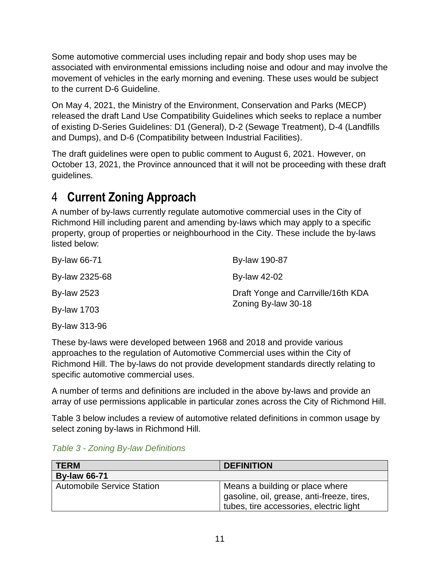Some automotive commercial uses including repair and body shop uses may be associated with environmental emissions including noise and odour and may involve the movement of vehicles in the early morning and evening. These uses would be subject to the current D-6 Guideline.

On May 4, 2021, the Ministry of the Environment, Conservation and Parks (MECP) released the draft Land Use Compatibility Guidelines which seeks to replace a number of existing D-Series Guidelines: D1 (General), D-2 (Sewage Treatment), D-4 (Landfills and Dumps), and D-6 (Compatibility between Industrial Facilities).

The draft guidelines were open to public comment to August 6, 2021. However, on October 13, 2021, the Province announced that it will not be proceeding with these draft guidelines.

# <span id="page-13-0"></span>4 **Current Zoning Approach**

A number of by-laws currently regulate automotive commercial uses in the City of Richmond Hill including parent and amending by-laws which may apply to a specific property, group of properties or neighbourhood in the City. These include the by-laws listed below:

| By-law 66-71       | By-law 190-87                                             |
|--------------------|-----------------------------------------------------------|
| By-law 2325-68     | <b>By-law 42-02</b>                                       |
| <b>By-law 2523</b> | Draft Yonge and Carrville/16th KDA<br>Zoning By-law 30-18 |
| <b>By-law 1703</b> |                                                           |
|                    |                                                           |

By-law 313-96

These by-laws were developed between 1968 and 2018 and provide various approaches to the regulation of Automotive Commercial uses within the City of Richmond Hill. The by-laws do not provide development standards directly relating to specific automotive commercial uses.

A number of terms and definitions are included in the above by-laws and provide an array of use permissions applicable in particular zones across the City of Richmond Hill.

Table 3 below includes a review of automotive related definitions in common usage by select zoning by-laws in Richmond Hill.

*Table 3 - Zoning By-law Definitions*

| <b>TERM</b>                       | <b>DEFINITION</b>                                                                                                        |  |
|-----------------------------------|--------------------------------------------------------------------------------------------------------------------------|--|
| <b>By-law 66-71</b>               |                                                                                                                          |  |
| <b>Automobile Service Station</b> | Means a building or place where<br>gasoline, oil, grease, anti-freeze, tires,<br>tubes, tire accessories, electric light |  |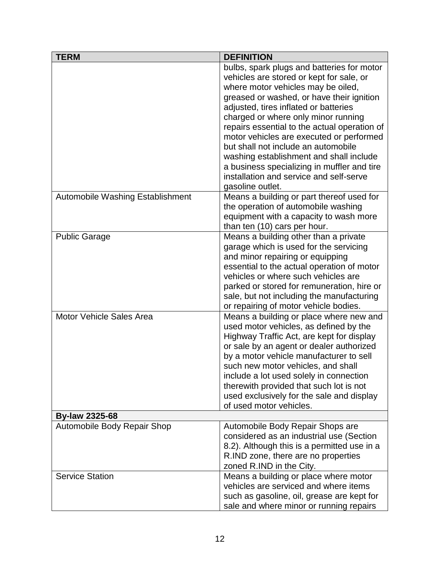| <b>TERM</b>                      | <b>DEFINITION</b>                                                                                                                                                                                                                                                                                                                                                                                                                                                                                                                                     |  |
|----------------------------------|-------------------------------------------------------------------------------------------------------------------------------------------------------------------------------------------------------------------------------------------------------------------------------------------------------------------------------------------------------------------------------------------------------------------------------------------------------------------------------------------------------------------------------------------------------|--|
|                                  | bulbs, spark plugs and batteries for motor<br>vehicles are stored or kept for sale, or<br>where motor vehicles may be oiled,<br>greased or washed, or have their ignition<br>adjusted, tires inflated or batteries<br>charged or where only minor running<br>repairs essential to the actual operation of<br>motor vehicles are executed or performed<br>but shall not include an automobile<br>washing establishment and shall include<br>a business specializing in muffler and tire<br>installation and service and self-serve<br>gasoline outlet. |  |
| Automobile Washing Establishment | Means a building or part thereof used for<br>the operation of automobile washing<br>equipment with a capacity to wash more<br>than ten (10) cars per hour.                                                                                                                                                                                                                                                                                                                                                                                            |  |
| <b>Public Garage</b>             | Means a building other than a private<br>garage which is used for the servicing<br>and minor repairing or equipping<br>essential to the actual operation of motor<br>vehicles or where such vehicles are<br>parked or stored for remuneration, hire or<br>sale, but not including the manufacturing<br>or repairing of motor vehicle bodies.                                                                                                                                                                                                          |  |
| <b>Motor Vehicle Sales Area</b>  | Means a building or place where new and<br>used motor vehicles, as defined by the<br>Highway Traffic Act, are kept for display<br>or sale by an agent or dealer authorized<br>by a motor vehicle manufacturer to sell<br>such new motor vehicles, and shall<br>include a lot used solely in connection<br>therewith provided that such lot is not<br>used exclusively for the sale and display<br>of used motor vehicles.                                                                                                                             |  |
| <b>By-law 2325-68</b>            |                                                                                                                                                                                                                                                                                                                                                                                                                                                                                                                                                       |  |
| Automobile Body Repair Shop      | Automobile Body Repair Shops are<br>considered as an industrial use (Section<br>8.2). Although this is a permitted use in a<br>R.IND zone, there are no properties<br>zoned R.IND in the City.                                                                                                                                                                                                                                                                                                                                                        |  |
| <b>Service Station</b>           | Means a building or place where motor<br>vehicles are serviced and where items<br>such as gasoline, oil, grease are kept for<br>sale and where minor or running repairs                                                                                                                                                                                                                                                                                                                                                                               |  |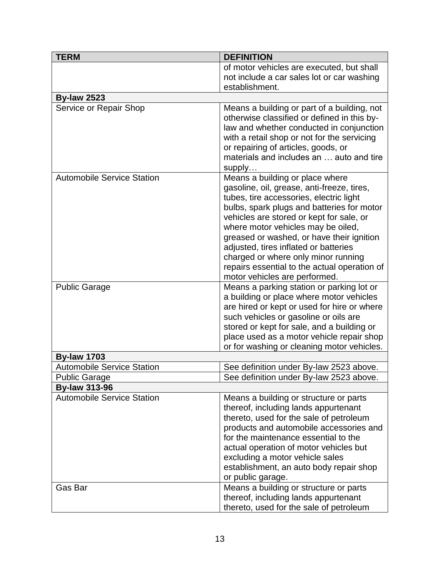| <b>TERM</b>                       | <b>DEFINITION</b>                                                                                                                                                                                                                                                                                                                                                                                                                                                      |
|-----------------------------------|------------------------------------------------------------------------------------------------------------------------------------------------------------------------------------------------------------------------------------------------------------------------------------------------------------------------------------------------------------------------------------------------------------------------------------------------------------------------|
|                                   | of motor vehicles are executed, but shall                                                                                                                                                                                                                                                                                                                                                                                                                              |
|                                   | not include a car sales lot or car washing                                                                                                                                                                                                                                                                                                                                                                                                                             |
|                                   | establishment.                                                                                                                                                                                                                                                                                                                                                                                                                                                         |
| <b>By-law 2523</b>                |                                                                                                                                                                                                                                                                                                                                                                                                                                                                        |
| Service or Repair Shop            | Means a building or part of a building, not<br>otherwise classified or defined in this by-<br>law and whether conducted in conjunction<br>with a retail shop or not for the servicing<br>or repairing of articles, goods, or<br>materials and includes an  auto and tire<br>supply                                                                                                                                                                                     |
| <b>Automobile Service Station</b> | Means a building or place where<br>gasoline, oil, grease, anti-freeze, tires,<br>tubes, tire accessories, electric light<br>bulbs, spark plugs and batteries for motor<br>vehicles are stored or kept for sale, or<br>where motor vehicles may be oiled,<br>greased or washed, or have their ignition<br>adjusted, tires inflated or batteries<br>charged or where only minor running<br>repairs essential to the actual operation of<br>motor vehicles are performed. |
| <b>Public Garage</b>              | Means a parking station or parking lot or<br>a building or place where motor vehicles<br>are hired or kept or used for hire or where<br>such vehicles or gasoline or oils are<br>stored or kept for sale, and a building or<br>place used as a motor vehicle repair shop<br>or for washing or cleaning motor vehicles.                                                                                                                                                 |
| <b>By-law 1703</b>                |                                                                                                                                                                                                                                                                                                                                                                                                                                                                        |
| <b>Automobile Service Station</b> | See definition under By-law 2523 above.                                                                                                                                                                                                                                                                                                                                                                                                                                |
| <b>Public Garage</b>              | See definition under By-law 2523 above.                                                                                                                                                                                                                                                                                                                                                                                                                                |
| <b>By-law 313-96</b>              |                                                                                                                                                                                                                                                                                                                                                                                                                                                                        |
| <b>Automobile Service Station</b> | Means a building or structure or parts<br>thereof, including lands appurtenant<br>thereto, used for the sale of petroleum<br>products and automobile accessories and<br>for the maintenance essential to the<br>actual operation of motor vehicles but<br>excluding a motor vehicle sales<br>establishment, an auto body repair shop<br>or public garage.                                                                                                              |
| Gas Bar                           | Means a building or structure or parts<br>thereof, including lands appurtenant<br>thereto, used for the sale of petroleum                                                                                                                                                                                                                                                                                                                                              |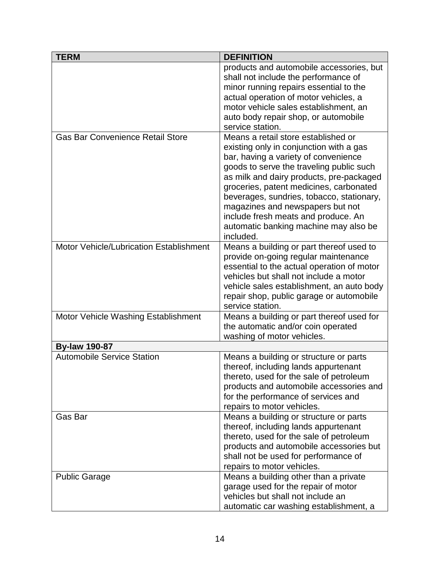| <b>TERM</b>                                    | <b>DEFINITION</b>                                                                                                                                                                                                                                                                                                                                                                                                                       |
|------------------------------------------------|-----------------------------------------------------------------------------------------------------------------------------------------------------------------------------------------------------------------------------------------------------------------------------------------------------------------------------------------------------------------------------------------------------------------------------------------|
|                                                | products and automobile accessories, but<br>shall not include the performance of<br>minor running repairs essential to the<br>actual operation of motor vehicles, a<br>motor vehicle sales establishment, an<br>auto body repair shop, or automobile<br>service station.                                                                                                                                                                |
| <b>Gas Bar Convenience Retail Store</b>        | Means a retail store established or<br>existing only in conjunction with a gas<br>bar, having a variety of convenience<br>goods to serve the traveling public such<br>as milk and dairy products, pre-packaged<br>groceries, patent medicines, carbonated<br>beverages, sundries, tobacco, stationary,<br>magazines and newspapers but not<br>include fresh meats and produce. An<br>automatic banking machine may also be<br>included. |
| <b>Motor Vehicle/Lubrication Establishment</b> | Means a building or part thereof used to<br>provide on-going regular maintenance<br>essential to the actual operation of motor<br>vehicles but shall not include a motor<br>vehicle sales establishment, an auto body<br>repair shop, public garage or automobile<br>service station.                                                                                                                                                   |
| Motor Vehicle Washing Establishment            | Means a building or part thereof used for<br>the automatic and/or coin operated<br>washing of motor vehicles.                                                                                                                                                                                                                                                                                                                           |
| <b>By-law 190-87</b>                           |                                                                                                                                                                                                                                                                                                                                                                                                                                         |
| <b>Automobile Service Station</b>              | Means a building or structure or parts<br>thereof, including lands appurtenant<br>thereto, used for the sale of petroleum<br>products and automobile accessories and<br>for the performance of services and<br>repairs to motor vehicles.                                                                                                                                                                                               |
| Gas Bar                                        | Means a building or structure or parts<br>thereof, including lands appurtenant<br>thereto, used for the sale of petroleum<br>products and automobile accessories but<br>shall not be used for performance of<br>repairs to motor vehicles.                                                                                                                                                                                              |
| <b>Public Garage</b>                           | Means a building other than a private<br>garage used for the repair of motor<br>vehicles but shall not include an<br>automatic car washing establishment, a                                                                                                                                                                                                                                                                             |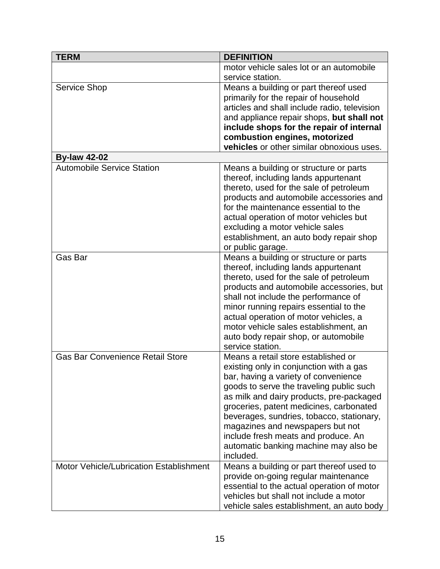| <b>TERM</b>                             | <b>DEFINITION</b>                                                                                                                                                                                                                                                                                                                                                                                                                       |
|-----------------------------------------|-----------------------------------------------------------------------------------------------------------------------------------------------------------------------------------------------------------------------------------------------------------------------------------------------------------------------------------------------------------------------------------------------------------------------------------------|
|                                         | motor vehicle sales lot or an automobile                                                                                                                                                                                                                                                                                                                                                                                                |
|                                         | service station.                                                                                                                                                                                                                                                                                                                                                                                                                        |
| Service Shop                            | Means a building or part thereof used                                                                                                                                                                                                                                                                                                                                                                                                   |
|                                         | primarily for the repair of household                                                                                                                                                                                                                                                                                                                                                                                                   |
|                                         | articles and shall include radio, television                                                                                                                                                                                                                                                                                                                                                                                            |
|                                         | and appliance repair shops, but shall not                                                                                                                                                                                                                                                                                                                                                                                               |
|                                         | include shops for the repair of internal                                                                                                                                                                                                                                                                                                                                                                                                |
|                                         | combustion engines, motorized                                                                                                                                                                                                                                                                                                                                                                                                           |
|                                         | vehicles or other similar obnoxious uses.                                                                                                                                                                                                                                                                                                                                                                                               |
| <b>By-law 42-02</b>                     |                                                                                                                                                                                                                                                                                                                                                                                                                                         |
| <b>Automobile Service Station</b>       | Means a building or structure or parts<br>thereof, including lands appurtenant<br>thereto, used for the sale of petroleum<br>products and automobile accessories and<br>for the maintenance essential to the<br>actual operation of motor vehicles but<br>excluding a motor vehicle sales<br>establishment, an auto body repair shop<br>or public garage.                                                                               |
| Gas Bar                                 | Means a building or structure or parts<br>thereof, including lands appurtenant<br>thereto, used for the sale of petroleum<br>products and automobile accessories, but<br>shall not include the performance of<br>minor running repairs essential to the<br>actual operation of motor vehicles, a<br>motor vehicle sales establishment, an<br>auto body repair shop, or automobile<br>service station.                                   |
| <b>Gas Bar Convenience Retail Store</b> | Means a retail store established or<br>existing only in conjunction with a gas<br>bar, having a variety of convenience<br>goods to serve the traveling public such<br>as milk and dairy products, pre-packaged<br>groceries, patent medicines, carbonated<br>beverages, sundries, tobacco, stationary,<br>magazines and newspapers but not<br>include fresh meats and produce. An<br>automatic banking machine may also be<br>included. |
| Motor Vehicle/Lubrication Establishment | Means a building or part thereof used to<br>provide on-going regular maintenance<br>essential to the actual operation of motor<br>vehicles but shall not include a motor<br>vehicle sales establishment, an auto body                                                                                                                                                                                                                   |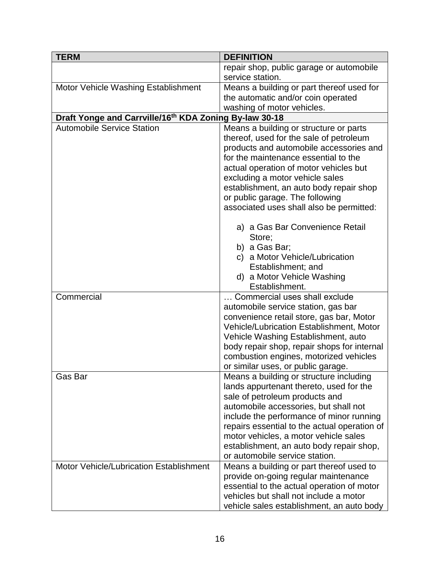| <b>TERM</b>                                            | <b>DEFINITION</b>                                                                                                                                                                                                                                                                                                                                                                                                                                                    |
|--------------------------------------------------------|----------------------------------------------------------------------------------------------------------------------------------------------------------------------------------------------------------------------------------------------------------------------------------------------------------------------------------------------------------------------------------------------------------------------------------------------------------------------|
|                                                        | repair shop, public garage or automobile                                                                                                                                                                                                                                                                                                                                                                                                                             |
|                                                        | service station.                                                                                                                                                                                                                                                                                                                                                                                                                                                     |
| Motor Vehicle Washing Establishment                    | Means a building or part thereof used for                                                                                                                                                                                                                                                                                                                                                                                                                            |
|                                                        | the automatic and/or coin operated                                                                                                                                                                                                                                                                                                                                                                                                                                   |
|                                                        | washing of motor vehicles.                                                                                                                                                                                                                                                                                                                                                                                                                                           |
| Draft Yonge and Carrville/16th KDA Zoning By-law 30-18 |                                                                                                                                                                                                                                                                                                                                                                                                                                                                      |
| <b>Automobile Service Station</b>                      | Means a building or structure or parts<br>thereof, used for the sale of petroleum<br>products and automobile accessories and<br>for the maintenance essential to the<br>actual operation of motor vehicles but<br>excluding a motor vehicle sales<br>establishment, an auto body repair shop<br>or public garage. The following<br>associated uses shall also be permitted:<br>a) a Gas Bar Convenience Retail<br>Store;                                             |
|                                                        | b) a Gas Bar;<br>c) a Motor Vehicle/Lubrication<br>Establishment; and<br>d) a Motor Vehicle Washing<br>Establishment.                                                                                                                                                                                                                                                                                                                                                |
| Commercial                                             | Commercial uses shall exclude                                                                                                                                                                                                                                                                                                                                                                                                                                        |
|                                                        | automobile service station, gas bar                                                                                                                                                                                                                                                                                                                                                                                                                                  |
|                                                        | convenience retail store, gas bar, Motor                                                                                                                                                                                                                                                                                                                                                                                                                             |
|                                                        | Vehicle/Lubrication Establishment, Motor                                                                                                                                                                                                                                                                                                                                                                                                                             |
|                                                        | Vehicle Washing Establishment, auto                                                                                                                                                                                                                                                                                                                                                                                                                                  |
|                                                        | body repair shop, repair shops for internal<br>combustion engines, motorized vehicles                                                                                                                                                                                                                                                                                                                                                                                |
|                                                        |                                                                                                                                                                                                                                                                                                                                                                                                                                                                      |
| Gas Bar                                                | Means a building or structure including                                                                                                                                                                                                                                                                                                                                                                                                                              |
|                                                        |                                                                                                                                                                                                                                                                                                                                                                                                                                                                      |
|                                                        |                                                                                                                                                                                                                                                                                                                                                                                                                                                                      |
|                                                        |                                                                                                                                                                                                                                                                                                                                                                                                                                                                      |
|                                                        |                                                                                                                                                                                                                                                                                                                                                                                                                                                                      |
|                                                        |                                                                                                                                                                                                                                                                                                                                                                                                                                                                      |
|                                                        |                                                                                                                                                                                                                                                                                                                                                                                                                                                                      |
|                                                        |                                                                                                                                                                                                                                                                                                                                                                                                                                                                      |
|                                                        |                                                                                                                                                                                                                                                                                                                                                                                                                                                                      |
|                                                        | provide on-going regular maintenance<br>essential to the actual operation of motor<br>vehicles but shall not include a motor                                                                                                                                                                                                                                                                                                                                         |
| Motor Vehicle/Lubrication Establishment                | or similar uses, or public garage.<br>lands appurtenant thereto, used for the<br>sale of petroleum products and<br>automobile accessories, but shall not<br>include the performance of minor running<br>repairs essential to the actual operation of<br>motor vehicles, a motor vehicle sales<br>establishment, an auto body repair shop,<br>or automobile service station.<br>Means a building or part thereof used to<br>vehicle sales establishment, an auto body |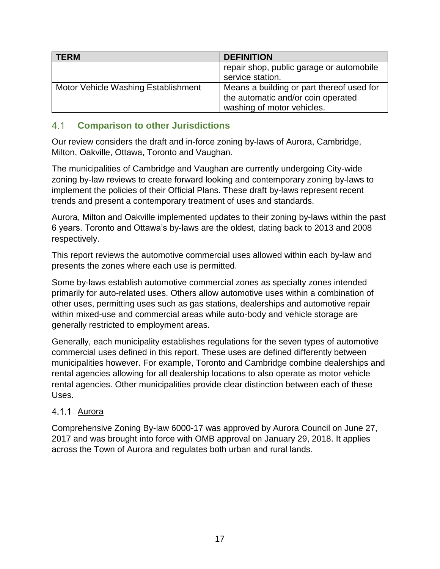| <b>TERM</b>                         | <b>DEFINITION</b>                         |
|-------------------------------------|-------------------------------------------|
|                                     | repair shop, public garage or automobile  |
|                                     | service station.                          |
| Motor Vehicle Washing Establishment | Means a building or part thereof used for |
|                                     | the automatic and/or coin operated        |
|                                     | washing of motor vehicles.                |

#### <span id="page-19-0"></span> $41$ **Comparison to other Jurisdictions**

Our review considers the draft and in-force zoning by-laws of Aurora, Cambridge, Milton, Oakville, Ottawa, Toronto and Vaughan.

The municipalities of Cambridge and Vaughan are currently undergoing City-wide zoning by-law reviews to create forward looking and contemporary zoning by-laws to implement the policies of their Official Plans. These draft by-laws represent recent trends and present a contemporary treatment of uses and standards.

Aurora, Milton and Oakville implemented updates to their zoning by-laws within the past 6 years. Toronto and Ottawa's by-laws are the oldest, dating back to 2013 and 2008 respectively.

This report reviews the automotive commercial uses allowed within each by-law and presents the zones where each use is permitted.

Some by-laws establish automotive commercial zones as specialty zones intended primarily for auto-related uses. Others allow automotive uses within a combination of other uses, permitting uses such as gas stations, dealerships and automotive repair within mixed-use and commercial areas while auto-body and vehicle storage are generally restricted to employment areas.

Generally, each municipality establishes regulations for the seven types of automotive commercial uses defined in this report. These uses are defined differently between municipalities however. For example, Toronto and Cambridge combine dealerships and rental agencies allowing for all dealership locations to also operate as motor vehicle rental agencies. Other municipalities provide clear distinction between each of these Uses.

#### <span id="page-19-1"></span>4.1.1 Aurora

Comprehensive Zoning By-law 6000-17 was approved by Aurora Council on June 27, 2017 and was brought into force with OMB approval on January 29, 2018. It applies across the Town of Aurora and regulates both urban and rural lands.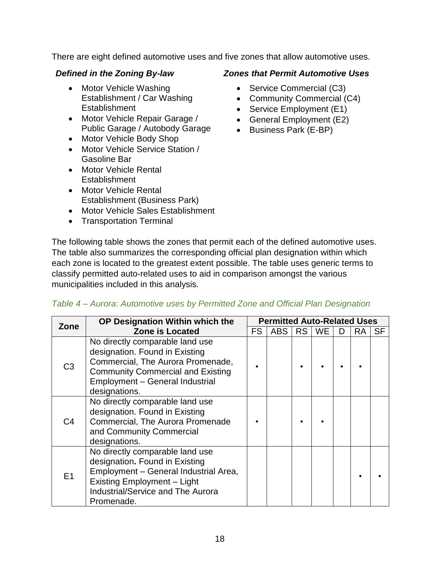There are eight defined automotive uses and five zones that allow automotive uses.

- Motor Vehicle Washing Establishment / Car Washing Establishment
- Motor Vehicle Repair Garage / Public Garage / Autobody Garage
- Motor Vehicle Body Shop
- Motor Vehicle Service Station / Gasoline Bar
- Motor Vehicle Rental **Establishment**
- Motor Vehicle Rental Establishment (Business Park)
- Motor Vehicle Sales Establishment
- Transportation Terminal

#### *Defined in the Zoning By-law Zones that Permit Automotive Uses*

- Service Commercial (C3)
- Community Commercial (C4)
- Service Employment (E1)
- General Employment (E2)
- Business Park (E-BP)

The following table shows the zones that permit each of the defined automotive uses. The table also summarizes the corresponding official plan designation within which each zone is located to the greatest extent possible. The table uses generic terms to classify permitted auto-related uses to aid in comparison amongst the various municipalities included in this analysis.

| Zone           | OP Designation Within which the                                                                                                                                                                        |           | <b>Permitted Auto-Related Uses</b> |    |           |    |           |           |
|----------------|--------------------------------------------------------------------------------------------------------------------------------------------------------------------------------------------------------|-----------|------------------------------------|----|-----------|----|-----------|-----------|
|                | <b>Zone is Located</b>                                                                                                                                                                                 | <b>FS</b> | <b>ABS</b>                         | RS | <b>WE</b> | D. | <b>RA</b> | <b>SF</b> |
| C3             | No directly comparable land use<br>designation. Found in Existing<br>Commercial, The Aurora Promenade,<br><b>Community Commercial and Existing</b><br>Employment - General Industrial<br>designations. |           |                                    |    |           |    |           |           |
| C4             | No directly comparable land use<br>designation. Found in Existing<br>Commercial, The Aurora Promenade<br>and Community Commercial<br>designations.                                                     |           |                                    |    |           |    |           |           |
| E <sub>1</sub> | No directly comparable land use<br>designation. Found in Existing<br>Employment - General Industrial Area,<br>Existing Employment - Light<br><b>Industrial/Service and The Aurora</b><br>Promenade.    |           |                                    |    |           |    |           |           |

#### *Table 4 – Aurora: Automotive uses by Permitted Zone and Official Plan Designation*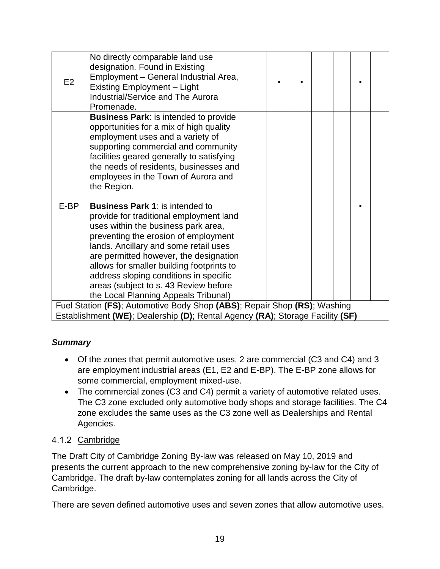| Existing Employment - Light<br><b>Industrial/Service and The Aurora</b><br>Promenade.                                                                                                                                                                                                                                                                                                                                               |  |  |  |  |  |  |  |
|-------------------------------------------------------------------------------------------------------------------------------------------------------------------------------------------------------------------------------------------------------------------------------------------------------------------------------------------------------------------------------------------------------------------------------------|--|--|--|--|--|--|--|
| <b>Business Park: is intended to provide</b><br>opportunities for a mix of high quality<br>employment uses and a variety of<br>supporting commercial and community<br>facilities geared generally to satisfying<br>the needs of residents, businesses and<br>employees in the Town of Aurora and<br>the Region.                                                                                                                     |  |  |  |  |  |  |  |
| E-BP<br><b>Business Park 1: is intended to</b><br>provide for traditional employment land<br>uses within the business park area,<br>preventing the erosion of employment<br>lands. Ancillary and some retail uses<br>are permitted however, the designation<br>allows for smaller building footprints to<br>address sloping conditions in specific<br>areas (subject to s. 43 Review before<br>the Local Planning Appeals Tribunal) |  |  |  |  |  |  |  |
| Fuel Station (FS); Automotive Body Shop (ABS); Repair Shop (RS); Washing<br>Establishment (WE); Dealership (D); Rental Agency (RA); Storage Facility (SF)                                                                                                                                                                                                                                                                           |  |  |  |  |  |  |  |

## *Summary*

- Of the zones that permit automotive uses, 2 are commercial (C3 and C4) and 3 are employment industrial areas (E1, E2 and E-BP). The E-BP zone allows for some commercial, employment mixed-use.
- The commercial zones (C3 and C4) permit a variety of automotive related uses. The C3 zone excluded only automotive body shops and storage facilities. The C4 zone excludes the same uses as the C3 zone well as Dealerships and Rental Agencies.

## <span id="page-21-0"></span>4.1.2 Cambridge

The Draft City of Cambridge Zoning By-law was released on May 10, 2019 and presents the current approach to the new comprehensive zoning by-law for the City of Cambridge. The draft by-law contemplates zoning for all lands across the City of Cambridge.

There are seven defined automotive uses and seven zones that allow automotive uses.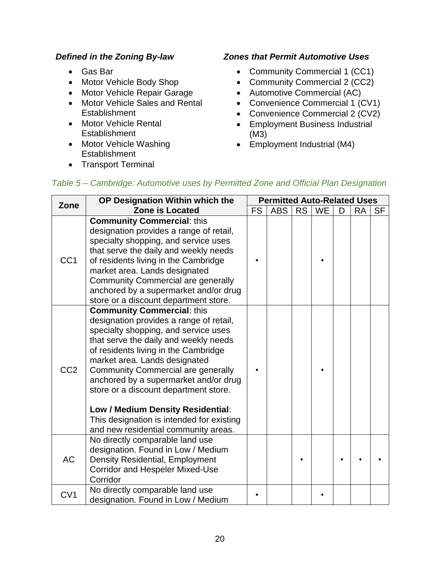- Gas Bar
- Motor Vehicle Body Shop
- Motor Vehicle Repair Garage
- Motor Vehicle Sales and Rental **Establishment**
- Motor Vehicle Rental **Establishment**
- Motor Vehicle Washing **Establishment**
- Transport Terminal

#### *Defined in the Zoning By-law Zones that Permit Automotive Uses*

- Community Commercial 1 (CC1)
- Community Commercial 2 (CC2)
- Automotive Commercial (AC)
- Convenience Commercial 1 (CV1)
- Convenience Commercial 2 (CV2)
- Employment Business Industrial (M3)
- Employment Industrial (M4)

| Zone            | OP Designation Within which the                                                                                                                                                                                                                                                                                                                                                                                                                                                                 |           | <b>Permitted Auto-Related Uses</b> |           |           |   |           |           |
|-----------------|-------------------------------------------------------------------------------------------------------------------------------------------------------------------------------------------------------------------------------------------------------------------------------------------------------------------------------------------------------------------------------------------------------------------------------------------------------------------------------------------------|-----------|------------------------------------|-----------|-----------|---|-----------|-----------|
|                 | <b>Zone is Located</b>                                                                                                                                                                                                                                                                                                                                                                                                                                                                          | <b>FS</b> | <b>ABS</b>                         | <b>RS</b> | <b>WE</b> | D | <b>RA</b> | <b>SF</b> |
| CC <sub>1</sub> | <b>Community Commercial: this</b><br>designation provides a range of retail,<br>specialty shopping, and service uses<br>that serve the daily and weekly needs<br>of residents living in the Cambridge<br>market area. Lands designated<br><b>Community Commercial are generally</b><br>anchored by a supermarket and/or drug<br>store or a discount department store.                                                                                                                           |           |                                    |           |           |   |           |           |
| CC <sub>2</sub> | <b>Community Commercial: this</b><br>designation provides a range of retail,<br>specialty shopping, and service uses<br>that serve the daily and weekly needs<br>of residents living in the Cambridge<br>market area. Lands designated<br><b>Community Commercial are generally</b><br>anchored by a supermarket and/or drug<br>store or a discount department store.<br>Low / Medium Density Residential:<br>This designation is intended for existing<br>and new residential community areas. |           |                                    |           |           |   |           |           |
| <b>AC</b>       | No directly comparable land use<br>designation. Found in Low / Medium<br><b>Density Residential, Employment</b><br><b>Corridor and Hespeler Mixed-Use</b><br>Corridor                                                                                                                                                                                                                                                                                                                           |           |                                    |           |           |   |           |           |
| CV <sub>1</sub> | No directly comparable land use<br>designation. Found in Low / Medium                                                                                                                                                                                                                                                                                                                                                                                                                           |           |                                    |           |           |   |           |           |

## *Table 5 – Cambridge: Automotive uses by Permitted Zone and Official Plan Designation*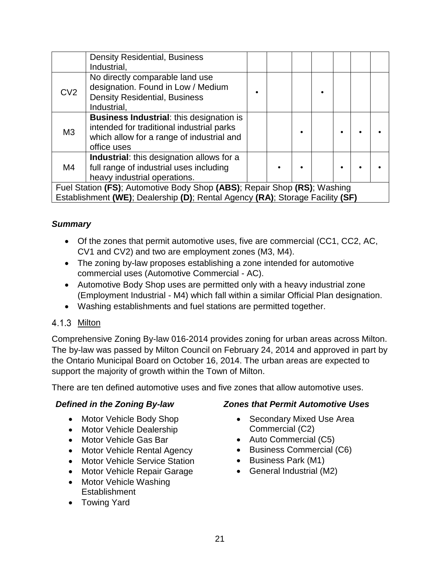|                 | <b>Density Residential, Business</b>                                                                                                                     |  |  |  |  |
|-----------------|----------------------------------------------------------------------------------------------------------------------------------------------------------|--|--|--|--|
|                 | Industrial,                                                                                                                                              |  |  |  |  |
| CV <sub>2</sub> | No directly comparable land use<br>designation. Found in Low / Medium<br><b>Density Residential, Business</b><br>Industrial,                             |  |  |  |  |
| M3              | <b>Business Industrial: this designation is</b><br>intended for traditional industrial parks<br>which allow for a range of industrial and<br>office uses |  |  |  |  |
| M4              | Industrial: this designation allows for a<br>full range of industrial uses including<br>heavy industrial operations.                                     |  |  |  |  |
|                 | Fuel Station (FS); Automotive Body Shop (ABS); Repair Shop (RS); Washing                                                                                 |  |  |  |  |
|                 | Establishment (WE); Dealership (D); Rental Agency (RA); Storage Facility (SF)                                                                            |  |  |  |  |

#### *Summary*

- Of the zones that permit automotive uses, five are commercial (CC1, CC2, AC, CV1 and CV2) and two are employment zones (M3, M4).
- The zoning by-law proposes establishing a zone intended for automotive commercial uses (Automotive Commercial - AC).
- Automotive Body Shop uses are permitted only with a heavy industrial zone (Employment Industrial - M4) which fall within a similar Official Plan designation.
- Washing establishments and fuel stations are permitted together.

#### <span id="page-23-0"></span>4.1.3 Milton

Comprehensive Zoning By-law 016-2014 provides zoning for urban areas across Milton. The by-law was passed by Milton Council on February 24, 2014 and approved in part by the Ontario Municipal Board on October 16, 2014. The urban areas are expected to support the majority of growth within the Town of Milton.

There are ten defined automotive uses and five zones that allow automotive uses.

- Motor Vehicle Body Shop
- Motor Vehicle Dealership
- Motor Vehicle Gas Bar
- Motor Vehicle Rental Agency
- Motor Vehicle Service Station
- Motor Vehicle Repair Garage
- Motor Vehicle Washing **Establishment**
- Towing Yard

#### *Defined in the Zoning By-law Zones that Permit Automotive Uses*

- Secondary Mixed Use Area Commercial (C2)
- Auto Commercial (C5)
- Business Commercial (C6)
- Business Park (M1)
- General Industrial (M2)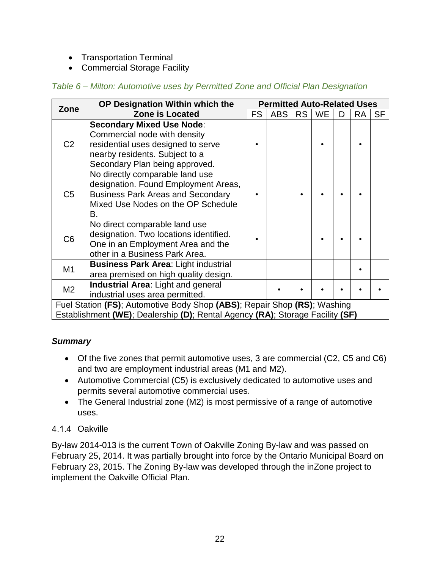- Transportation Terminal
- Commercial Storage Facility

#### *Table 6 – Milton: Automotive uses by Permitted Zone and Official Plan Designation*

| Zone           | OP Designation Within which the                                               | <b>Permitted Auto-Related Uses</b> |            |           |           |   |           |           |
|----------------|-------------------------------------------------------------------------------|------------------------------------|------------|-----------|-----------|---|-----------|-----------|
|                | <b>Zone is Located</b>                                                        | FS.                                | <b>ABS</b> | <b>RS</b> | <b>WE</b> | D | <b>RA</b> | <b>SF</b> |
|                | <b>Secondary Mixed Use Node:</b>                                              |                                    |            |           |           |   |           |           |
|                | Commercial node with density                                                  |                                    |            |           |           |   |           |           |
| C <sub>2</sub> | residential uses designed to serve                                            |                                    |            |           |           |   |           |           |
|                | nearby residents. Subject to a                                                |                                    |            |           |           |   |           |           |
|                | Secondary Plan being approved.                                                |                                    |            |           |           |   |           |           |
|                | No directly comparable land use                                               |                                    |            |           |           |   |           |           |
|                | designation. Found Employment Areas,                                          |                                    |            |           |           |   |           |           |
| C <sub>5</sub> | <b>Business Park Areas and Secondary</b>                                      |                                    |            |           |           |   |           |           |
|                | Mixed Use Nodes on the OP Schedule                                            |                                    |            |           |           |   |           |           |
|                | В.                                                                            |                                    |            |           |           |   |           |           |
|                | No direct comparable land use                                                 |                                    |            |           |           |   |           |           |
| C6             | designation. Two locations identified.                                        |                                    |            |           |           |   |           |           |
|                | One in an Employment Area and the                                             |                                    |            |           |           |   |           |           |
|                | other in a Business Park Area.                                                |                                    |            |           |           |   |           |           |
| M1             | <b>Business Park Area: Light industrial</b>                                   |                                    |            |           |           |   |           |           |
|                | area premised on high quality design.                                         |                                    |            |           |           |   |           |           |
| M2             | <b>Industrial Area: Light and general</b>                                     |                                    |            |           |           |   |           |           |
|                | industrial uses area permitted.                                               |                                    |            |           |           |   |           |           |
|                | Fuel Station (FS); Automotive Body Shop (ABS); Repair Shop (RS); Washing      |                                    |            |           |           |   |           |           |
|                | Establishment (WE); Dealership (D); Rental Agency (RA); Storage Facility (SF) |                                    |            |           |           |   |           |           |

#### *Summary*

- Of the five zones that permit automotive uses, 3 are commercial (C2, C5 and C6) and two are employment industrial areas (M1 and M2).
- Automotive Commercial (C5) is exclusively dedicated to automotive uses and permits several automotive commercial uses.
- The General Industrial zone (M2) is most permissive of a range of automotive uses.

## <span id="page-24-0"></span>4.1.4 Oakville

By-law 2014-013 is the current Town of Oakville Zoning By-law and was passed on February 25, 2014. It was partially brought into force by the Ontario Municipal Board on February 23, 2015. The Zoning By-law was developed through the inZone project to implement the Oakville Official Plan.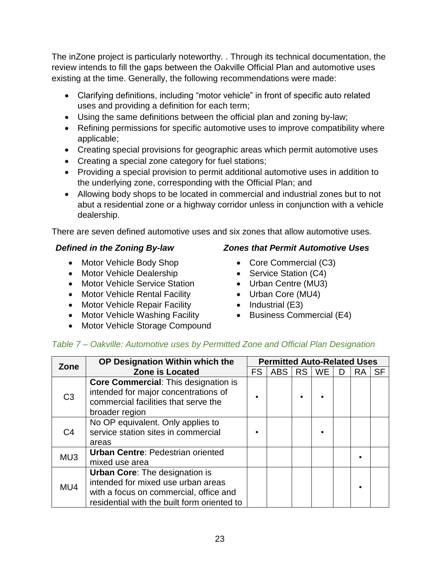The inZone project is particularly noteworthy. . Through its technical documentation, the review intends to fill the gaps between the Oakville Official Plan and automotive uses existing at the time. Generally, the following recommendations were made:

- Clarifying definitions, including "motor vehicle" in front of specific auto related uses and providing a definition for each term;
- Using the same definitions between the official plan and zoning by-law;
- Refining permissions for specific automotive uses to improve compatibility where applicable;
- Creating special provisions for geographic areas which permit automotive uses
- Creating a special zone category for fuel stations;
- Providing a special provision to permit additional automotive uses in addition to the underlying zone, corresponding with the Official Plan; and
- Allowing body shops to be located in commercial and industrial zones but to not abut a residential zone or a highway corridor unless in conjunction with a vehicle dealership.

There are seven defined automotive uses and six zones that allow automotive uses.

- Motor Vehicle Body Shop
- Motor Vehicle Dealership
- Motor Vehicle Service Station
- Motor Vehicle Rental Facility
- Motor Vehicle Repair Facility
- Motor Vehicle Washing Facility
- Motor Vehicle Storage Compound

#### *Defined in the Zoning By-law Zones that Permit Automotive Uses*

- Core Commercial (C3)
- Service Station (C4)
- Urban Centre (MU3)
- Urban Core (MU4)
- Industrial (E3)
- Business Commercial (E4)

#### *Table 7 – Oakville: Automotive uses by Permitted Zone and Official Plan Designation*

| Zone           | OP Designation Within which the                                                                                                                                      |           |            |           |           |   | <b>Permitted Auto-Related Uses</b> |           |  |  |
|----------------|----------------------------------------------------------------------------------------------------------------------------------------------------------------------|-----------|------------|-----------|-----------|---|------------------------------------|-----------|--|--|
|                | <b>Zone is Located</b>                                                                                                                                               | <b>FS</b> | <b>ABS</b> | <b>RS</b> | <b>WE</b> | D | <b>RA</b>                          | <b>SF</b> |  |  |
| C <sub>3</sub> | Core Commercial: This designation is<br>intended for major concentrations of<br>commercial facilities that serve the<br>broader region                               |           |            |           |           |   |                                    |           |  |  |
| C <sub>4</sub> | No OP equivalent. Only applies to<br>service station sites in commercial<br>areas                                                                                    |           |            |           |           |   |                                    |           |  |  |
| MU3            | <b>Urban Centre: Pedestrian oriented</b><br>mixed use area                                                                                                           |           |            |           |           |   |                                    |           |  |  |
| MU4            | <b>Urban Core: The designation is</b><br>intended for mixed use urban areas<br>with a focus on commercial, office and<br>residential with the built form oriented to |           |            |           |           |   |                                    |           |  |  |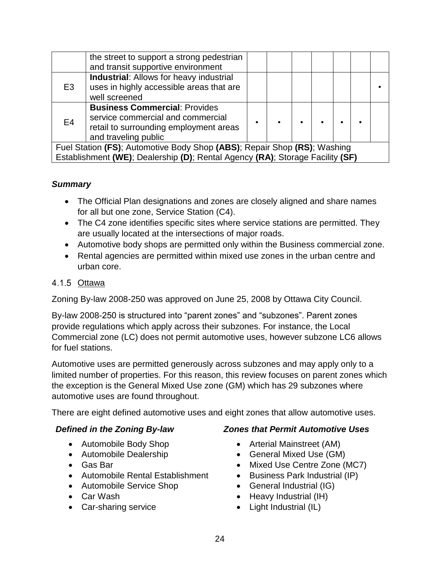|                                                                                                                                                           | the street to support a strong pedestrian<br>and transit supportive environment                                                             |  |  |  |  |  |  |  |
|-----------------------------------------------------------------------------------------------------------------------------------------------------------|---------------------------------------------------------------------------------------------------------------------------------------------|--|--|--|--|--|--|--|
| E3                                                                                                                                                        | <b>Industrial: Allows for heavy industrial</b><br>uses in highly accessible areas that are<br>well screened                                 |  |  |  |  |  |  |  |
| E4                                                                                                                                                        | <b>Business Commercial: Provides</b><br>service commercial and commercial<br>retail to surrounding employment areas<br>and traveling public |  |  |  |  |  |  |  |
| Fuel Station (FS); Automotive Body Shop (ABS); Repair Shop (RS); Washing<br>Establishment (WE); Dealership (D); Rental Agency (RA); Storage Facility (SF) |                                                                                                                                             |  |  |  |  |  |  |  |

#### *Summary*

- The Official Plan designations and zones are closely aligned and share names for all but one zone, Service Station (C4).
- The C4 zone identifies specific sites where service stations are permitted. They are usually located at the intersections of major roads.
- Automotive body shops are permitted only within the Business commercial zone.
- Rental agencies are permitted within mixed use zones in the urban centre and urban core.

#### <span id="page-26-0"></span>4.1.5 Ottawa

Zoning By-law 2008-250 was approved on June 25, 2008 by Ottawa City Council.

By-law 2008-250 is structured into "parent zones" and "subzones". Parent zones provide regulations which apply across their subzones. For instance, the Local Commercial zone (LC) does not permit automotive uses, however subzone LC6 allows for fuel stations.

Automotive uses are permitted generously across subzones and may apply only to a limited number of properties. For this reason, this review focuses on parent zones which the exception is the General Mixed Use zone (GM) which has 29 subzones where automotive uses are found throughout.

There are eight defined automotive uses and eight zones that allow automotive uses.

- Automobile Body Shop
- Automobile Dealership
- Gas Bar
- Automobile Rental Establishment
- Automobile Service Shop
- Car Wash
- Car-sharing service

## *Defined in the Zoning By-law Zones that Permit Automotive Uses*

- Arterial Mainstreet (AM)
- General Mixed Use (GM)
- Mixed Use Centre Zone (MC7)
- Business Park Industrial (IP)
- General Industrial (IG)
- Heavy Industrial (IH)
- Light Industrial (IL)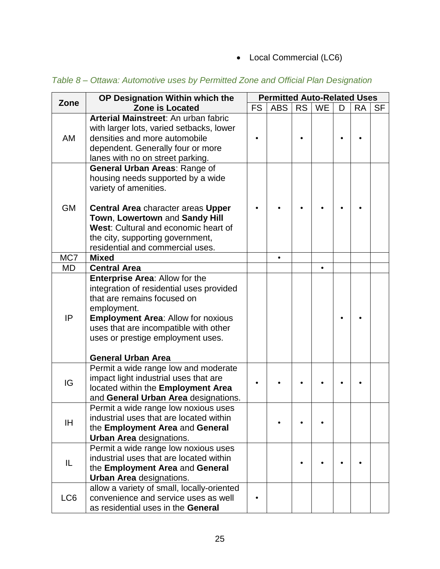• Local Commercial (LC6)

| Zone      | OP Designation Within which the                                                                                                                                                                                                                                                            | <b>Permitted Auto-Related Uses</b> |            |           |           |   |           |           |  |
|-----------|--------------------------------------------------------------------------------------------------------------------------------------------------------------------------------------------------------------------------------------------------------------------------------------------|------------------------------------|------------|-----------|-----------|---|-----------|-----------|--|
|           | <b>Zone is Located</b>                                                                                                                                                                                                                                                                     | <b>FS</b>                          | <b>ABS</b> | <b>RS</b> | <b>WE</b> | D | <b>RA</b> | <b>SF</b> |  |
| AM        | Arterial Mainstreet: An urban fabric<br>with larger lots, varied setbacks, lower<br>densities and more automobile<br>dependent. Generally four or more<br>lanes with no on street parking.                                                                                                 |                                    |            |           |           |   |           |           |  |
| <b>GM</b> | General Urban Areas: Range of<br>housing needs supported by a wide<br>variety of amenities.<br><b>Central Area</b> character areas Upper<br>Town, Lowertown and Sandy Hill<br>West: Cultural and economic heart of<br>the city, supporting government,<br>residential and commercial uses. |                                    |            |           |           |   |           |           |  |
| MC7       | <b>Mixed</b>                                                                                                                                                                                                                                                                               |                                    |            |           |           |   |           |           |  |
| <b>MD</b> | <b>Central Area</b>                                                                                                                                                                                                                                                                        |                                    |            |           | $\bullet$ |   |           |           |  |
| IP        | <b>Enterprise Area: Allow for the</b><br>integration of residential uses provided<br>that are remains focused on<br>employment.<br><b>Employment Area: Allow for noxious</b><br>uses that are incompatible with other<br>uses or prestige employment uses.<br><b>General Urban Area</b>    |                                    |            |           |           |   |           |           |  |
| IG        | Permit a wide range low and moderate<br>impact light industrial uses that are<br>located within the Employment Area<br>and General Urban Area designations.                                                                                                                                |                                    |            |           |           |   |           |           |  |
| IH        | Permit a wide range low noxious uses<br>industrial uses that are located within<br>the Employment Area and General<br><b>Urban Area</b> designations.                                                                                                                                      |                                    |            |           |           |   |           |           |  |
| IL        | Permit a wide range low noxious uses<br>industrial uses that are located within<br>the Employment Area and General<br><b>Urban Area</b> designations.                                                                                                                                      |                                    |            |           |           |   |           |           |  |
| LC6       | allow a variety of small, locally-oriented<br>convenience and service uses as well<br>as residential uses in the General                                                                                                                                                                   |                                    |            |           |           |   |           |           |  |

*Table 8 – Ottawa: Automotive uses by Permitted Zone and Official Plan Designation*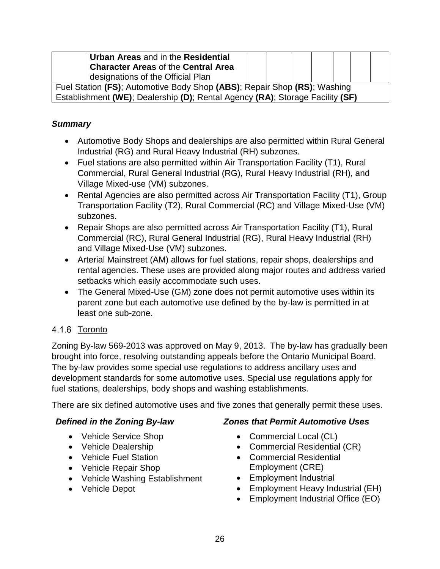| Urban Areas and in the Residential<br><b>Character Areas of the Central Area</b> |                                                                               |  |  |  |  |  |  |  |
|----------------------------------------------------------------------------------|-------------------------------------------------------------------------------|--|--|--|--|--|--|--|
| designations of the Official Plan                                                |                                                                               |  |  |  |  |  |  |  |
| Fuel Station (FS); Automotive Body Shop (ABS); Repair Shop (RS); Washing         |                                                                               |  |  |  |  |  |  |  |
|                                                                                  | Establishment (WE); Dealership (D); Rental Agency (RA); Storage Facility (SF) |  |  |  |  |  |  |  |

#### *Summary*

- Automotive Body Shops and dealerships are also permitted within Rural General Industrial (RG) and Rural Heavy Industrial (RH) subzones.
- Fuel stations are also permitted within Air Transportation Facility (T1), Rural Commercial, Rural General Industrial (RG), Rural Heavy Industrial (RH), and Village Mixed-use (VM) subzones.
- Rental Agencies are also permitted across Air Transportation Facility (T1), Group Transportation Facility (T2), Rural Commercial (RC) and Village Mixed-Use (VM) subzones.
- Repair Shops are also permitted across Air Transportation Facility (T1), Rural Commercial (RC), Rural General Industrial (RG), Rural Heavy Industrial (RH) and Village Mixed-Use (VM) subzones.
- Arterial Mainstreet (AM) allows for fuel stations, repair shops, dealerships and rental agencies. These uses are provided along major routes and address varied setbacks which easily accommodate such uses.
- The General Mixed-Use (GM) zone does not permit automotive uses within its parent zone but each automotive use defined by the by-law is permitted in at least one sub-zone.

#### <span id="page-28-0"></span>4.1.6 Toronto

Zoning By-law 569-2013 was approved on May 9, 2013. The by-law has gradually been brought into force, resolving outstanding appeals before the Ontario Municipal Board. The by-law provides some special use regulations to address ancillary uses and development standards for some automotive uses. Special use regulations apply for fuel stations, dealerships, body shops and washing establishments.

There are six defined automotive uses and five zones that generally permit these uses.

- Vehicle Service Shop
- Vehicle Dealership
- Vehicle Fuel Station
- Vehicle Repair Shop
- Vehicle Washing Establishment
- Vehicle Depot

#### *Defined in the Zoning By-law Zones that Permit Automotive Uses*

- Commercial Local (CL)
- Commercial Residential (CR)
- Commercial Residential Employment (CRE)
- Employment Industrial
- Employment Heavy Industrial (EH)
- Employment Industrial Office (EO)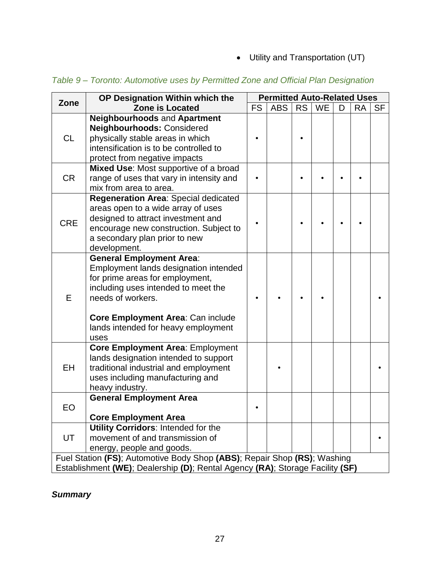• Utility and Transportation (UT)

| Zone                                                                          | OP Designation Within which the                                                                                                                                                                                                                             | <b>Permitted Auto-Related Uses</b> |            |           |           |   |           |           |  |
|-------------------------------------------------------------------------------|-------------------------------------------------------------------------------------------------------------------------------------------------------------------------------------------------------------------------------------------------------------|------------------------------------|------------|-----------|-----------|---|-----------|-----------|--|
|                                                                               | <b>Zone is Located</b>                                                                                                                                                                                                                                      | <b>FS</b>                          | <b>ABS</b> | <b>RS</b> | <b>WE</b> | D | <b>RA</b> | <b>SF</b> |  |
| <b>CL</b>                                                                     | Neighbourhoods and Apartment<br>Neighbourhoods: Considered<br>physically stable areas in which<br>intensification is to be controlled to<br>protect from negative impacts                                                                                   |                                    |            |           |           |   |           |           |  |
| <b>CR</b>                                                                     | Mixed Use: Most supportive of a broad<br>range of uses that vary in intensity and<br>mix from area to area.                                                                                                                                                 |                                    |            |           |           |   |           |           |  |
| <b>CRE</b>                                                                    | Regeneration Area: Special dedicated<br>areas open to a wide array of uses<br>designed to attract investment and<br>encourage new construction. Subject to<br>a secondary plan prior to new<br>development.                                                 |                                    |            |           |           |   |           |           |  |
| E                                                                             | <b>General Employment Area:</b><br>Employment lands designation intended<br>for prime areas for employment,<br>including uses intended to meet the<br>needs of workers.<br>Core Employment Area: Can include<br>lands intended for heavy employment<br>uses |                                    |            |           |           |   |           |           |  |
| EH                                                                            | <b>Core Employment Area: Employment</b><br>lands designation intended to support<br>traditional industrial and employment<br>uses including manufacturing and<br>heavy industry.                                                                            |                                    |            |           |           |   |           |           |  |
| EO                                                                            | <b>General Employment Area</b><br><b>Core Employment Area</b>                                                                                                                                                                                               |                                    |            |           |           |   |           |           |  |
| UT                                                                            | <b>Utility Corridors: Intended for the</b><br>movement of and transmission of<br>energy, people and goods.                                                                                                                                                  |                                    |            |           |           |   |           |           |  |
| Fuel Station (FS); Automotive Body Shop (ABS); Repair Shop (RS); Washing      |                                                                                                                                                                                                                                                             |                                    |            |           |           |   |           |           |  |
| Establishment (WE); Dealership (D); Rental Agency (RA); Storage Facility (SF) |                                                                                                                                                                                                                                                             |                                    |            |           |           |   |           |           |  |

*Table 9 – Toronto: Automotive uses by Permitted Zone and Official Plan Designation*

## *Summary*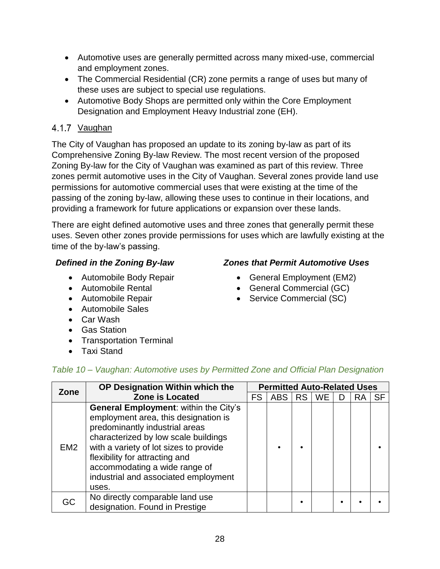- Automotive uses are generally permitted across many mixed-use, commercial and employment zones.
- The Commercial Residential (CR) zone permits a range of uses but many of these uses are subject to special use regulations.
- Automotive Body Shops are permitted only within the Core Employment Designation and Employment Heavy Industrial zone (EH).

## <span id="page-30-0"></span>4.1.7 Vaughan

The City of Vaughan has proposed an update to its zoning by-law as part of its Comprehensive Zoning By-law Review. The most recent version of the proposed Zoning By-law for the City of Vaughan was examined as part of this review. Three zones permit automotive uses in the City of Vaughan. Several zones provide land use permissions for automotive commercial uses that were existing at the time of the passing of the zoning by-law, allowing these uses to continue in their locations, and providing a framework for future applications or expansion over these lands.

There are eight defined automotive uses and three zones that generally permit these uses. Seven other zones provide permissions for uses which are lawfully existing at the time of the by-law's passing.

- Automobile Body Repair
- Automobile Rental
- Automobile Repair
- Automobile Sales
- Car Wash
- Gas Station
- Transportation Terminal
- Taxi Stand

## *Table 10 – Vaughan: Automotive uses by Permitted Zone and Official Plan Designation*

| Zone            | OP Designation Within which the                                                                                                                                                                                                                                                                                       | <b>Permitted Auto-Related Uses</b> |            |      |    |   |           |           |  |
|-----------------|-----------------------------------------------------------------------------------------------------------------------------------------------------------------------------------------------------------------------------------------------------------------------------------------------------------------------|------------------------------------|------------|------|----|---|-----------|-----------|--|
|                 | <b>Zone is Located</b>                                                                                                                                                                                                                                                                                                | <b>FS</b>                          | <b>ABS</b> | RS I | WE | D | <b>RA</b> | <b>SF</b> |  |
| EM <sub>2</sub> | General Employment: within the City's<br>employment area, this designation is<br>predominantly industrial areas<br>characterized by low scale buildings<br>with a variety of lot sizes to provide<br>flexibility for attracting and<br>accommodating a wide range of<br>industrial and associated employment<br>uses. |                                    |            |      |    |   |           |           |  |
| GC              | No directly comparable land use<br>designation. Found in Prestige                                                                                                                                                                                                                                                     |                                    |            |      |    |   |           |           |  |

#### 28

#### *Defined in the Zoning By-law Zones that Permit Automotive Uses*

- General Employment (EM2)
- General Commercial (GC)
- Service Commercial (SC)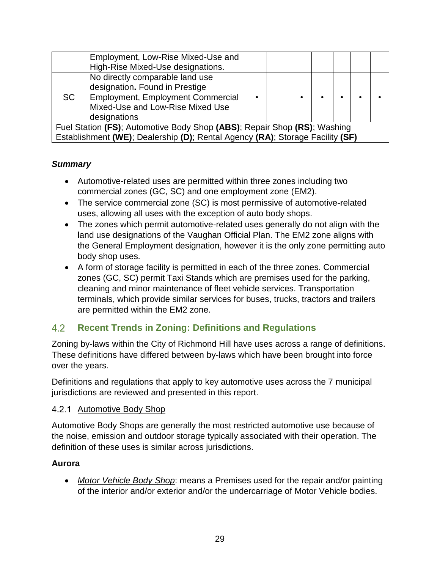|                                                                                                                                                           | Employment, Low-Rise Mixed-Use and<br>High-Rise Mixed-Use designations.                                                                                           |  |  |           |  |  |  |  |
|-----------------------------------------------------------------------------------------------------------------------------------------------------------|-------------------------------------------------------------------------------------------------------------------------------------------------------------------|--|--|-----------|--|--|--|--|
| SC.                                                                                                                                                       | No directly comparable land use<br>designation. Found in Prestige<br><b>Employment, Employment Commercial</b><br>Mixed-Use and Low-Rise Mixed Use<br>designations |  |  | $\bullet$ |  |  |  |  |
| Fuel Station (FS); Automotive Body Shop (ABS); Repair Shop (RS); Washing<br>Establishment (WE); Dealership (D); Rental Agency (RA); Storage Facility (SF) |                                                                                                                                                                   |  |  |           |  |  |  |  |

## *Summary*

- Automotive-related uses are permitted within three zones including two commercial zones (GC, SC) and one employment zone (EM2).
- The service commercial zone (SC) is most permissive of automotive-related uses, allowing all uses with the exception of auto body shops.
- The zones which permit automotive-related uses generally do not align with the land use designations of the Vaughan Official Plan. The EM2 zone aligns with the General Employment designation, however it is the only zone permitting auto body shop uses.
- A form of storage facility is permitted in each of the three zones. Commercial zones (GC, SC) permit Taxi Stands which are premises used for the parking, cleaning and minor maintenance of fleet vehicle services. Transportation terminals, which provide similar services for buses, trucks, tractors and trailers are permitted within the EM2 zone.

#### <span id="page-31-0"></span> $4.2$ **Recent Trends in Zoning: Definitions and Regulations**

Zoning by-laws within the City of Richmond Hill have uses across a range of definitions. These definitions have differed between by-laws which have been brought into force over the years.

Definitions and regulations that apply to key automotive uses across the 7 municipal jurisdictions are reviewed and presented in this report.

#### <span id="page-31-1"></span>4.2.1 Automotive Body Shop

Automotive Body Shops are generally the most restricted automotive use because of the noise, emission and outdoor storage typically associated with their operation. The definition of these uses is similar across jurisdictions.

## **Aurora**

• *Motor Vehicle Body Shop*: means a Premises used for the repair and/or painting of the interior and/or exterior and/or the undercarriage of Motor Vehicle bodies.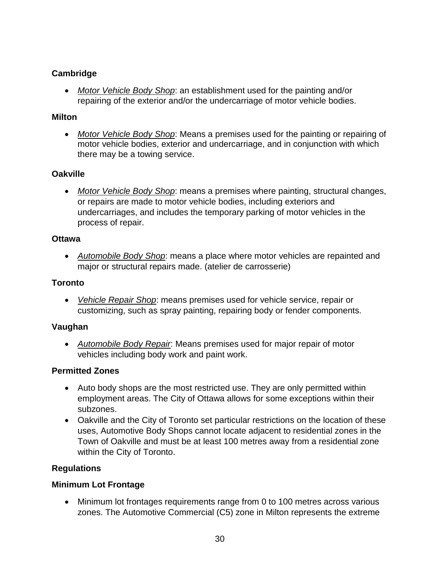#### **Cambridge**

• *Motor Vehicle Body Shop*: an establishment used for the painting and/or repairing of the exterior and/or the undercarriage of motor vehicle bodies.

#### **Milton**

• *Motor Vehicle Body Shop*: Means a premises used for the painting or repairing of motor vehicle bodies, exterior and undercarriage, and in conjunction with which there may be a towing service.

#### **Oakville**

• *Motor Vehicle Body Shop*: means a premises where painting, structural changes, or repairs are made to motor vehicle bodies, including exteriors and undercarriages, and includes the temporary parking of motor vehicles in the process of repair.

#### **Ottawa**

• *Automobile Body Shop*: means a place where motor vehicles are repainted and major or structural repairs made. (atelier de carrosserie)

#### **Toronto**

• *Vehicle Repair Shop*: means premises used for vehicle service, repair or customizing, such as spray painting, repairing body or fender components.

#### **Vaughan**

• *Automobile Body Repair*: Means premises used for major repair of motor vehicles including body work and paint work.

#### **Permitted Zones**

- Auto body shops are the most restricted use. They are only permitted within employment areas. The City of Ottawa allows for some exceptions within their subzones.
- Oakville and the City of Toronto set particular restrictions on the location of these uses, Automotive Body Shops cannot locate adjacent to residential zones in the Town of Oakville and must be at least 100 metres away from a residential zone within the City of Toronto.

## **Regulations**

#### **Minimum Lot Frontage**

• Minimum lot frontages requirements range from 0 to 100 metres across various zones. The Automotive Commercial (C5) zone in Milton represents the extreme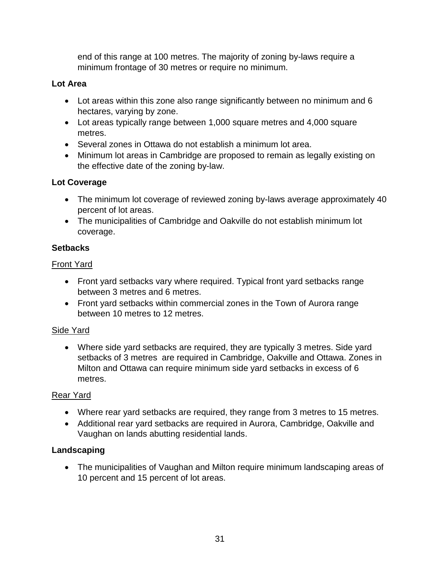end of this range at 100 metres. The majority of zoning by-laws require a minimum frontage of 30 metres or require no minimum.

#### **Lot Area**

- Lot areas within this zone also range significantly between no minimum and 6 hectares, varying by zone.
- Lot areas typically range between 1,000 square metres and 4,000 square metres.
- Several zones in Ottawa do not establish a minimum lot area.
- Minimum lot areas in Cambridge are proposed to remain as legally existing on the effective date of the zoning by-law.

#### **Lot Coverage**

- The minimum lot coverage of reviewed zoning by-laws average approximately 40 percent of lot areas.
- The municipalities of Cambridge and Oakville do not establish minimum lot coverage.

#### **Setbacks**

#### Front Yard

- Front yard setbacks vary where required. Typical front yard setbacks range between 3 metres and 6 metres.
- Front yard setbacks within commercial zones in the Town of Aurora range between 10 metres to 12 metres.

## Side Yard

• Where side yard setbacks are required, they are typically 3 metres. Side yard setbacks of 3 metres are required in Cambridge, Oakville and Ottawa. Zones in Milton and Ottawa can require minimum side yard setbacks in excess of 6 metres.

## Rear Yard

- Where rear yard setbacks are required, they range from 3 metres to 15 metres.
- Additional rear yard setbacks are required in Aurora, Cambridge, Oakville and Vaughan on lands abutting residential lands.

## **Landscaping**

• The municipalities of Vaughan and Milton require minimum landscaping areas of 10 percent and 15 percent of lot areas.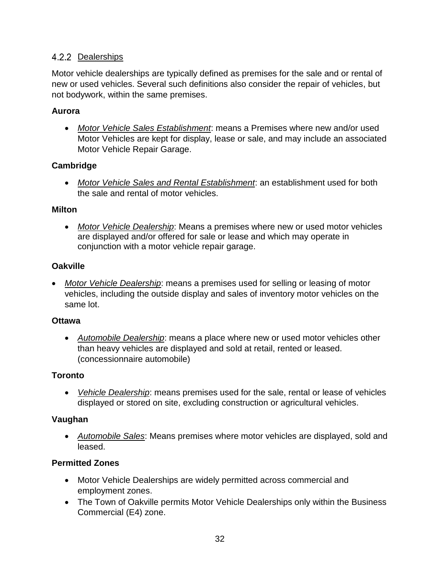#### <span id="page-34-0"></span>4.2.2 Dealerships

Motor vehicle dealerships are typically defined as premises for the sale and or rental of new or used vehicles. Several such definitions also consider the repair of vehicles, but not bodywork, within the same premises.

#### **Aurora**

• *Motor Vehicle Sales Establishment*: means a Premises where new and/or used Motor Vehicles are kept for display, lease or sale, and may include an associated Motor Vehicle Repair Garage.

#### **Cambridge**

• *Motor Vehicle Sales and Rental Establishment*: an establishment used for both the sale and rental of motor vehicles.

#### **Milton**

• *Motor Vehicle Dealership*: Means a premises where new or used motor vehicles are displayed and/or offered for sale or lease and which may operate in conjunction with a motor vehicle repair garage.

#### **Oakville**

• *Motor Vehicle Dealership*: means a premises used for selling or leasing of motor vehicles, including the outside display and sales of inventory motor vehicles on the same lot.

#### **Ottawa**

• *Automobile Dealership*: means a place where new or used motor vehicles other than heavy vehicles are displayed and sold at retail, rented or leased. (concessionnaire automobile)

#### **Toronto**

• *Vehicle Dealership*: means premises used for the sale, rental or lease of vehicles displayed or stored on site, excluding construction or agricultural vehicles.

#### **Vaughan**

• *Automobile Sales*: Means premises where motor vehicles are displayed, sold and leased.

#### **Permitted Zones**

- Motor Vehicle Dealerships are widely permitted across commercial and employment zones.
- The Town of Oakville permits Motor Vehicle Dealerships only within the Business Commercial (E4) zone.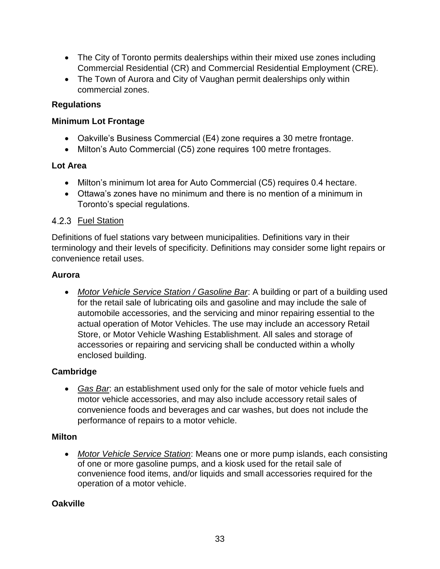- The City of Toronto permits dealerships within their mixed use zones including Commercial Residential (CR) and Commercial Residential Employment (CRE).
- The Town of Aurora and City of Vaughan permit dealerships only within commercial zones.

#### **Regulations**

#### **Minimum Lot Frontage**

- Oakville's Business Commercial (E4) zone requires a 30 metre frontage.
- Milton's Auto Commercial (C5) zone requires 100 metre frontages.

#### **Lot Area**

- Milton's minimum lot area for Auto Commercial (C5) requires 0.4 hectare.
- Ottawa's zones have no minimum and there is no mention of a minimum in Toronto's special regulations.

#### <span id="page-35-0"></span>4.2.3 Fuel Station

Definitions of fuel stations vary between municipalities. Definitions vary in their terminology and their levels of specificity. Definitions may consider some light repairs or convenience retail uses.

#### **Aurora**

• *Motor Vehicle Service Station / Gasoline Bar*: A building or part of a building used for the retail sale of lubricating oils and gasoline and may include the sale of automobile accessories, and the servicing and minor repairing essential to the actual operation of Motor Vehicles. The use may include an accessory Retail Store, or Motor Vehicle Washing Establishment. All sales and storage of accessories or repairing and servicing shall be conducted within a wholly enclosed building.

## **Cambridge**

• *Gas Bar*: an establishment used only for the sale of motor vehicle fuels and motor vehicle accessories, and may also include accessory retail sales of convenience foods and beverages and car washes, but does not include the performance of repairs to a motor vehicle.

#### **Milton**

• *Motor Vehicle Service Station*: Means one or more pump islands, each consisting of one or more gasoline pumps, and a kiosk used for the retail sale of convenience food items, and/or liquids and small accessories required for the operation of a motor vehicle.

## **Oakville**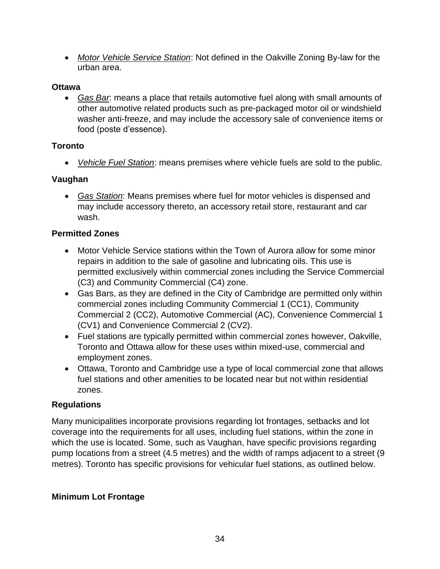• *Motor Vehicle Service Station*: Not defined in the Oakville Zoning By-law for the urban area.

#### **Ottawa**

• *Gas Bar*: means a place that retails automotive fuel along with small amounts of other automotive related products such as pre-packaged motor oil or windshield washer anti-freeze, and may include the accessory sale of convenience items or food (poste d'essence).

## **Toronto**

• *Vehicle Fuel Station*: means premises where vehicle fuels are sold to the public.

#### **Vaughan**

• *Gas Station*: Means premises where fuel for motor vehicles is dispensed and may include accessory thereto, an accessory retail store, restaurant and car wash.

#### **Permitted Zones**

- Motor Vehicle Service stations within the Town of Aurora allow for some minor repairs in addition to the sale of gasoline and lubricating oils. This use is permitted exclusively within commercial zones including the Service Commercial (C3) and Community Commercial (C4) zone.
- Gas Bars, as they are defined in the City of Cambridge are permitted only within commercial zones including Community Commercial 1 (CC1), Community Commercial 2 (CC2), Automotive Commercial (AC), Convenience Commercial 1 (CV1) and Convenience Commercial 2 (CV2).
- Fuel stations are typically permitted within commercial zones however, Oakville, Toronto and Ottawa allow for these uses within mixed-use, commercial and employment zones.
- Ottawa, Toronto and Cambridge use a type of local commercial zone that allows fuel stations and other amenities to be located near but not within residential zones.

## **Regulations**

Many municipalities incorporate provisions regarding lot frontages, setbacks and lot coverage into the requirements for all uses, including fuel stations, within the zone in which the use is located. Some, such as Vaughan, have specific provisions regarding pump locations from a street (4.5 metres) and the width of ramps adjacent to a street (9 metres). Toronto has specific provisions for vehicular fuel stations, as outlined below.

## **Minimum Lot Frontage**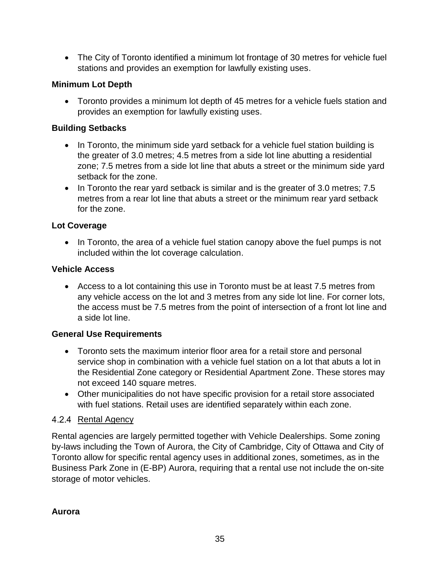• The City of Toronto identified a minimum lot frontage of 30 metres for vehicle fuel stations and provides an exemption for lawfully existing uses.

## **Minimum Lot Depth**

• Toronto provides a minimum lot depth of 45 metres for a vehicle fuels station and provides an exemption for lawfully existing uses.

#### **Building Setbacks**

- In Toronto, the minimum side yard setback for a vehicle fuel station building is the greater of 3.0 metres; 4.5 metres from a side lot line abutting a residential zone; 7.5 metres from a side lot line that abuts a street or the minimum side yard setback for the zone.
- In Toronto the rear yard setback is similar and is the greater of 3.0 metres; 7.5 metres from a rear lot line that abuts a street or the minimum rear yard setback for the zone.

#### **Lot Coverage**

• In Toronto, the area of a vehicle fuel station canopy above the fuel pumps is not included within the lot coverage calculation.

#### **Vehicle Access**

• Access to a lot containing this use in Toronto must be at least 7.5 metres from any vehicle access on the lot and 3 metres from any side lot line. For corner lots, the access must be 7.5 metres from the point of intersection of a front lot line and a side lot line.

#### **General Use Requirements**

- Toronto sets the maximum interior floor area for a retail store and personal service shop in combination with a vehicle fuel station on a lot that abuts a lot in the Residential Zone category or Residential Apartment Zone. These stores may not exceed 140 square metres.
- Other municipalities do not have specific provision for a retail store associated with fuel stations. Retail uses are identified separately within each zone.

#### <span id="page-37-0"></span>4.2.4 Rental Agency

Rental agencies are largely permitted together with Vehicle Dealerships. Some zoning by-laws including the Town of Aurora, the City of Cambridge, City of Ottawa and City of Toronto allow for specific rental agency uses in additional zones, sometimes, as in the Business Park Zone in (E-BP) Aurora, requiring that a rental use not include the on-site storage of motor vehicles.

#### **Aurora**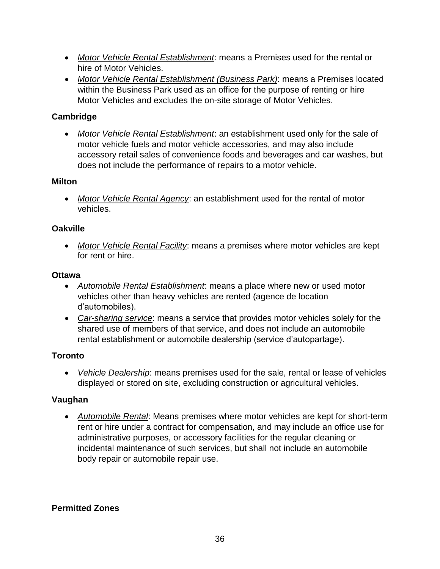- *Motor Vehicle Rental Establishment*: means a Premises used for the rental or hire of Motor Vehicles.
- *Motor Vehicle Rental Establishment (Business Park)*: means a Premises located within the Business Park used as an office for the purpose of renting or hire Motor Vehicles and excludes the on-site storage of Motor Vehicles.

## **Cambridge**

• *Motor Vehicle Rental Establishment*: an establishment used only for the sale of motor vehicle fuels and motor vehicle accessories, and may also include accessory retail sales of convenience foods and beverages and car washes, but does not include the performance of repairs to a motor vehicle.

#### **Milton**

• *Motor Vehicle Rental Agency*: an establishment used for the rental of motor vehicles.

## **Oakville**

• *Motor Vehicle Rental Facility*: means a premises where motor vehicles are kept for rent or hire.

## **Ottawa**

- *Automobile Rental Establishment*: means a place where new or used motor vehicles other than heavy vehicles are rented (agence de location d'automobiles).
- *Car-sharing service*: means a service that provides motor vehicles solely for the shared use of members of that service, and does not include an automobile rental establishment or automobile dealership (service d'autopartage).

## **Toronto**

• *Vehicle Dealership*: means premises used for the sale, rental or lease of vehicles displayed or stored on site, excluding construction or agricultural vehicles.

## **Vaughan**

• *Automobile Rental*: Means premises where motor vehicles are kept for short-term rent or hire under a contract for compensation, and may include an office use for administrative purposes, or accessory facilities for the regular cleaning or incidental maintenance of such services, but shall not include an automobile body repair or automobile repair use.

## **Permitted Zones**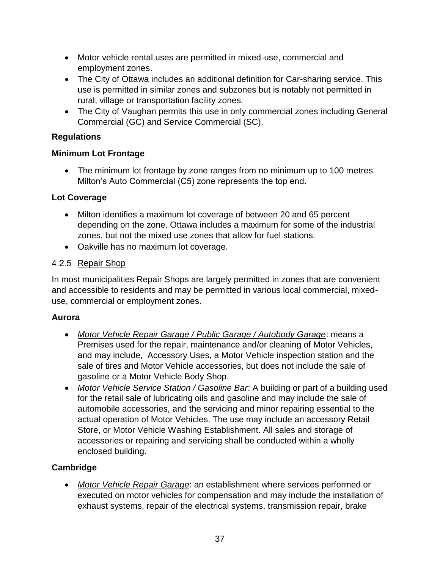- Motor vehicle rental uses are permitted in mixed-use, commercial and employment zones.
- The City of Ottawa includes an additional definition for Car-sharing service. This use is permitted in similar zones and subzones but is notably not permitted in rural, village or transportation facility zones.
- The City of Vaughan permits this use in only commercial zones including General Commercial (GC) and Service Commercial (SC).

## **Regulations**

#### **Minimum Lot Frontage**

• The minimum lot frontage by zone ranges from no minimum up to 100 metres. Milton's Auto Commercial (C5) zone represents the top end.

#### **Lot Coverage**

- Milton identifies a maximum lot coverage of between 20 and 65 percent depending on the zone. Ottawa includes a maximum for some of the industrial zones, but not the mixed use zones that allow for fuel stations.
- Oakville has no maximum lot coverage.

## <span id="page-39-0"></span>4.2.5 Repair Shop

In most municipalities Repair Shops are largely permitted in zones that are convenient and accessible to residents and may be permitted in various local commercial, mixeduse, commercial or employment zones.

#### **Aurora**

- *Motor Vehicle Repair Garage / Public Garage / Autobody Garage*: means a Premises used for the repair, maintenance and/or cleaning of Motor Vehicles, and may include, Accessory Uses, a Motor Vehicle inspection station and the sale of tires and Motor Vehicle accessories, but does not include the sale of gasoline or a Motor Vehicle Body Shop.
- *Motor Vehicle Service Station / Gasoline Bar*: A building or part of a building used for the retail sale of lubricating oils and gasoline and may include the sale of automobile accessories, and the servicing and minor repairing essential to the actual operation of Motor Vehicles. The use may include an accessory Retail Store, or Motor Vehicle Washing Establishment. All sales and storage of accessories or repairing and servicing shall be conducted within a wholly enclosed building.

## **Cambridge**

• *Motor Vehicle Repair Garage*: an establishment where services performed or executed on motor vehicles for compensation and may include the installation of exhaust systems, repair of the electrical systems, transmission repair, brake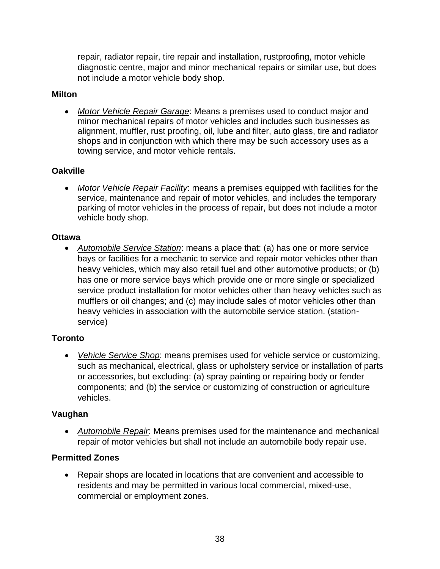repair, radiator repair, tire repair and installation, rustproofing, motor vehicle diagnostic centre, major and minor mechanical repairs or similar use, but does not include a motor vehicle body shop.

#### **Milton**

• *Motor Vehicle Repair Garage*: Means a premises used to conduct major and minor mechanical repairs of motor vehicles and includes such businesses as alignment, muffler, rust proofing, oil, lube and filter, auto glass, tire and radiator shops and in conjunction with which there may be such accessory uses as a towing service, and motor vehicle rentals.

#### **Oakville**

• *Motor Vehicle Repair Facility*: means a premises equipped with facilities for the service, maintenance and repair of motor vehicles, and includes the temporary parking of motor vehicles in the process of repair, but does not include a motor vehicle body shop.

#### **Ottawa**

• *Automobile Service Station*: means a place that: (a) has one or more service bays or facilities for a mechanic to service and repair motor vehicles other than heavy vehicles, which may also retail fuel and other automotive products; or (b) has one or more service bays which provide one or more single or specialized service product installation for motor vehicles other than heavy vehicles such as mufflers or oil changes; and (c) may include sales of motor vehicles other than heavy vehicles in association with the automobile service station. (stationservice)

## **Toronto**

• *Vehicle Service Shop*: means premises used for vehicle service or customizing, such as mechanical, electrical, glass or upholstery service or installation of parts or accessories, but excluding: (a) spray painting or repairing body or fender components; and (b) the service or customizing of construction or agriculture vehicles.

#### **Vaughan**

• *Automobile Repair*: Means premises used for the maintenance and mechanical repair of motor vehicles but shall not include an automobile body repair use.

#### **Permitted Zones**

• Repair shops are located in locations that are convenient and accessible to residents and may be permitted in various local commercial, mixed-use, commercial or employment zones.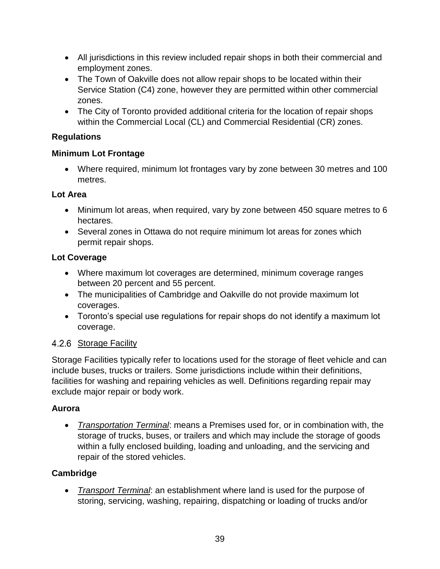- All jurisdictions in this review included repair shops in both their commercial and employment zones.
- The Town of Oakville does not allow repair shops to be located within their Service Station (C4) zone, however they are permitted within other commercial zones.
- The City of Toronto provided additional criteria for the location of repair shops within the Commercial Local (CL) and Commercial Residential (CR) zones.

#### **Regulations**

#### **Minimum Lot Frontage**

• Where required, minimum lot frontages vary by zone between 30 metres and 100 metres.

#### **Lot Area**

- Minimum lot areas, when required, vary by zone between 450 square metres to 6 hectares.
- Several zones in Ottawa do not require minimum lot areas for zones which permit repair shops.

## **Lot Coverage**

- Where maximum lot coverages are determined, minimum coverage ranges between 20 percent and 55 percent.
- The municipalities of Cambridge and Oakville do not provide maximum lot coverages.
- Toronto's special use regulations for repair shops do not identify a maximum lot coverage.

## <span id="page-41-0"></span>4.2.6 Storage Facility

Storage Facilities typically refer to locations used for the storage of fleet vehicle and can include buses, trucks or trailers. Some jurisdictions include within their definitions, facilities for washing and repairing vehicles as well. Definitions regarding repair may exclude major repair or body work.

## **Aurora**

• *Transportation Terminal*: means a Premises used for, or in combination with, the storage of trucks, buses, or trailers and which may include the storage of goods within a fully enclosed building, loading and unloading, and the servicing and repair of the stored vehicles.

## **Cambridge**

• *Transport Terminal*: an establishment where land is used for the purpose of storing, servicing, washing, repairing, dispatching or loading of trucks and/or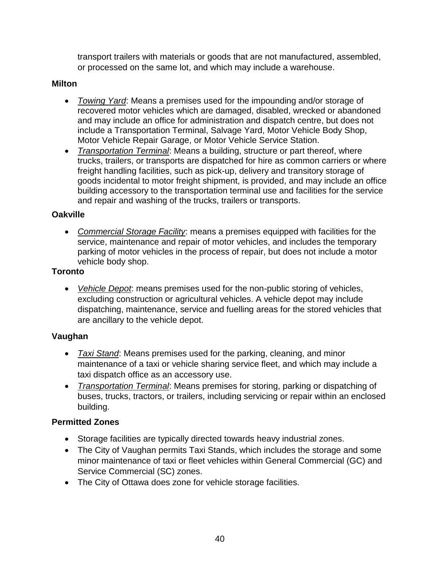transport trailers with materials or goods that are not manufactured, assembled, or processed on the same lot, and which may include a warehouse.

#### **Milton**

- *Towing Yard*: Means a premises used for the impounding and/or storage of recovered motor vehicles which are damaged, disabled, wrecked or abandoned and may include an office for administration and dispatch centre, but does not include a Transportation Terminal, Salvage Yard, Motor Vehicle Body Shop, Motor Vehicle Repair Garage, or Motor Vehicle Service Station.
- *Transportation Terminal*: Means a building, structure or part thereof, where trucks, trailers, or transports are dispatched for hire as common carriers or where freight handling facilities, such as pick-up, delivery and transitory storage of goods incidental to motor freight shipment, is provided, and may include an office building accessory to the transportation terminal use and facilities for the service and repair and washing of the trucks, trailers or transports.

#### **Oakville**

• *Commercial Storage Facility*: means a premises equipped with facilities for the service, maintenance and repair of motor vehicles, and includes the temporary parking of motor vehicles in the process of repair, but does not include a motor vehicle body shop.

#### **Toronto**

• *Vehicle Depot*: means premises used for the non-public storing of vehicles, excluding construction or agricultural vehicles. A vehicle depot may include dispatching, maintenance, service and fuelling areas for the stored vehicles that are ancillary to the vehicle depot.

## **Vaughan**

- *Taxi Stand*: Means premises used for the parking, cleaning, and minor maintenance of a taxi or vehicle sharing service fleet, and which may include a taxi dispatch office as an accessory use.
- *Transportation Terminal*: Means premises for storing, parking or dispatching of buses, trucks, tractors, or trailers, including servicing or repair within an enclosed building.

## **Permitted Zones**

- Storage facilities are typically directed towards heavy industrial zones.
- The City of Vaughan permits Taxi Stands, which includes the storage and some minor maintenance of taxi or fleet vehicles within General Commercial (GC) and Service Commercial (SC) zones.
- The City of Ottawa does zone for vehicle storage facilities.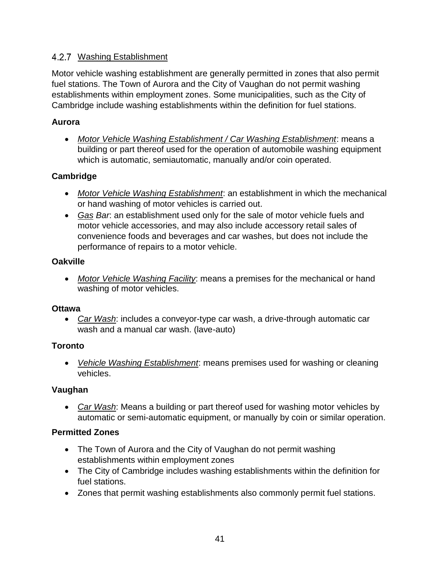#### <span id="page-43-0"></span>4.2.7 Washing Establishment

Motor vehicle washing establishment are generally permitted in zones that also permit fuel stations. The Town of Aurora and the City of Vaughan do not permit washing establishments within employment zones. Some municipalities, such as the City of Cambridge include washing establishments within the definition for fuel stations.

#### **Aurora**

• *Motor Vehicle Washing Establishment / Car Washing Establishment*: means a building or part thereof used for the operation of automobile washing equipment which is automatic, semiautomatic, manually and/or coin operated.

#### **Cambridge**

- *Motor Vehicle Washing Establishment*: an establishment in which the mechanical or hand washing of motor vehicles is carried out.
- *Gas Bar*: an establishment used only for the sale of motor vehicle fuels and motor vehicle accessories, and may also include accessory retail sales of convenience foods and beverages and car washes, but does not include the performance of repairs to a motor vehicle.

#### **Oakville**

• *Motor Vehicle Washing Facility*: means a premises for the mechanical or hand washing of motor vehicles.

#### **Ottawa**

• *Car Wash*: includes a conveyor-type car wash, a drive-through automatic car wash and a manual car wash. (lave-auto)

## **Toronto**

• *Vehicle Washing Establishment*: means premises used for washing or cleaning vehicles.

#### **Vaughan**

• *Car Wash*: Means a building or part thereof used for washing motor vehicles by automatic or semi-automatic equipment, or manually by coin or similar operation.

## **Permitted Zones**

- The Town of Aurora and the City of Vaughan do not permit washing establishments within employment zones
- The City of Cambridge includes washing establishments within the definition for fuel stations.
- Zones that permit washing establishments also commonly permit fuel stations.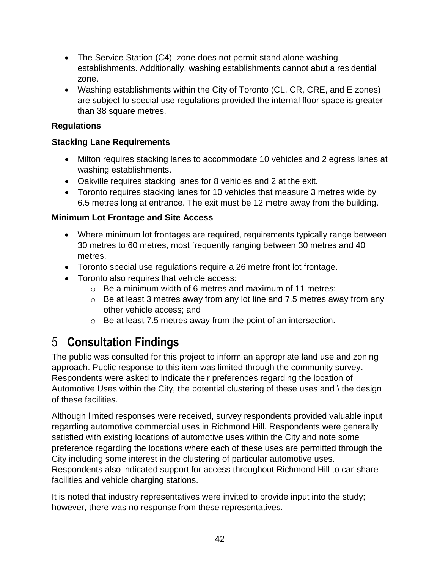- The Service Station (C4) zone does not permit stand alone washing establishments. Additionally, washing establishments cannot abut a residential zone.
- Washing establishments within the City of Toronto (CL, CR, CRE, and E zones) are subject to special use regulations provided the internal floor space is greater than 38 square metres.

## **Regulations**

## **Stacking Lane Requirements**

- Milton requires stacking lanes to accommodate 10 vehicles and 2 egress lanes at washing establishments.
- Oakville requires stacking lanes for 8 vehicles and 2 at the exit.
- Toronto requires stacking lanes for 10 vehicles that measure 3 metres wide by 6.5 metres long at entrance. The exit must be 12 metre away from the building.

## **Minimum Lot Frontage and Site Access**

- Where minimum lot frontages are required, requirements typically range between 30 metres to 60 metres, most frequently ranging between 30 metres and 40 metres.
- Toronto special use regulations require a 26 metre front lot frontage.
- Toronto also requires that vehicle access:
	- o Be a minimum width of 6 metres and maximum of 11 metres;
	- o Be at least 3 metres away from any lot line and 7.5 metres away from any other vehicle access; and
	- o Be at least 7.5 metres away from the point of an intersection.

# <span id="page-44-0"></span>5 **Consultation Findings**

The public was consulted for this project to inform an appropriate land use and zoning approach. Public response to this item was limited through the community survey. Respondents were asked to indicate their preferences regarding the location of Automotive Uses within the City, the potential clustering of these uses and \ the design of these facilities.

Although limited responses were received, survey respondents provided valuable input regarding automotive commercial uses in Richmond Hill. Respondents were generally satisfied with existing locations of automotive uses within the City and note some preference regarding the locations where each of these uses are permitted through the City including some interest in the clustering of particular automotive uses. Respondents also indicated support for access throughout Richmond Hill to car-share facilities and vehicle charging stations.

It is noted that industry representatives were invited to provide input into the study; however, there was no response from these representatives.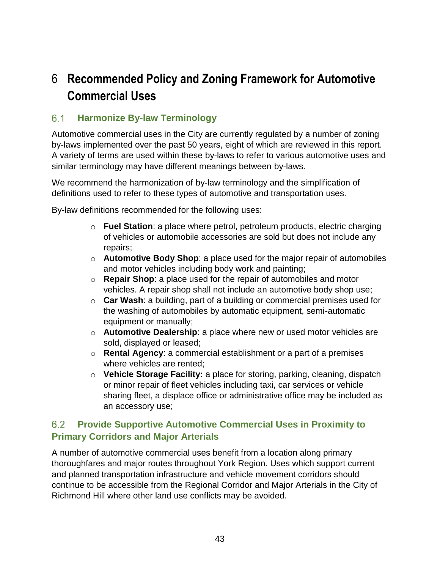# <span id="page-45-0"></span>6 **Recommended Policy and Zoning Framework for Automotive Commercial Uses**

#### <span id="page-45-1"></span> $6.1$ **Harmonize By-law Terminology**

Automotive commercial uses in the City are currently regulated by a number of zoning by-laws implemented over the past 50 years, eight of which are reviewed in this report. A variety of terms are used within these by-laws to refer to various automotive uses and similar terminology may have different meanings between by-laws.

We recommend the harmonization of by-law terminology and the simplification of definitions used to refer to these types of automotive and transportation uses.

By-law definitions recommended for the following uses:

- o **Fuel Station**: a place where petrol, petroleum products, electric charging of vehicles or automobile accessories are sold but does not include any repairs;
- o **Automotive Body Shop**: a place used for the major repair of automobiles and motor vehicles including body work and painting;
- o **Repair Shop**: a place used for the repair of automobiles and motor vehicles. A repair shop shall not include an automotive body shop use;
- o **Car Wash**: a building, part of a building or commercial premises used for the washing of automobiles by automatic equipment, semi-automatic equipment or manually;
- o **Automotive Dealership**: a place where new or used motor vehicles are sold, displayed or leased;
- o **Rental Agency**: a commercial establishment or a part of a premises where vehicles are rented;
- o **Vehicle Storage Facility:** a place for storing, parking, cleaning, dispatch or minor repair of fleet vehicles including taxi, car services or vehicle sharing fleet, a displace office or administrative office may be included as an accessory use;

#### <span id="page-45-2"></span> $6.2$ **Provide Supportive Automotive Commercial Uses in Proximity to Primary Corridors and Major Arterials**

A number of automotive commercial uses benefit from a location along primary thoroughfares and major routes throughout York Region. Uses which support current and planned transportation infrastructure and vehicle movement corridors should continue to be accessible from the Regional Corridor and Major Arterials in the City of Richmond Hill where other land use conflicts may be avoided.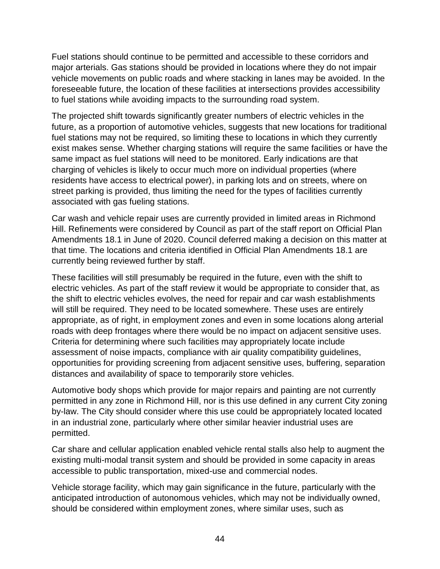Fuel stations should continue to be permitted and accessible to these corridors and major arterials. Gas stations should be provided in locations where they do not impair vehicle movements on public roads and where stacking in lanes may be avoided. In the foreseeable future, the location of these facilities at intersections provides accessibility to fuel stations while avoiding impacts to the surrounding road system.

The projected shift towards significantly greater numbers of electric vehicles in the future, as a proportion of automotive vehicles, suggests that new locations for traditional fuel stations may not be required, so limiting these to locations in which they currently exist makes sense. Whether charging stations will require the same facilities or have the same impact as fuel stations will need to be monitored. Early indications are that charging of vehicles is likely to occur much more on individual properties (where residents have access to electrical power), in parking lots and on streets, where on street parking is provided, thus limiting the need for the types of facilities currently associated with gas fueling stations.

Car wash and vehicle repair uses are currently provided in limited areas in Richmond Hill. Refinements were considered by Council as part of the staff report on Official Plan Amendments 18.1 in June of 2020. Council deferred making a decision on this matter at that time. The locations and criteria identified in Official Plan Amendments 18.1 are currently being reviewed further by staff.

These facilities will still presumably be required in the future, even with the shift to electric vehicles. As part of the staff review it would be appropriate to consider that, as the shift to electric vehicles evolves, the need for repair and car wash establishments will still be required. They need to be located somewhere. These uses are entirely appropriate, as of right, in employment zones and even in some locations along arterial roads with deep frontages where there would be no impact on adjacent sensitive uses. Criteria for determining where such facilities may appropriately locate include assessment of noise impacts, compliance with air quality compatibility guidelines, opportunities for providing screening from adjacent sensitive uses, buffering, separation distances and availability of space to temporarily store vehicles.

Automotive body shops which provide for major repairs and painting are not currently permitted in any zone in Richmond Hill, nor is this use defined in any current City zoning by-law. The City should consider where this use could be appropriately located located in an industrial zone, particularly where other similar heavier industrial uses are permitted.

Car share and cellular application enabled vehicle rental stalls also help to augment the existing multi-modal transit system and should be provided in some capacity in areas accessible to public transportation, mixed-use and commercial nodes.

Vehicle storage facility, which may gain significance in the future, particularly with the anticipated introduction of autonomous vehicles, which may not be individually owned, should be considered within employment zones, where similar uses, such as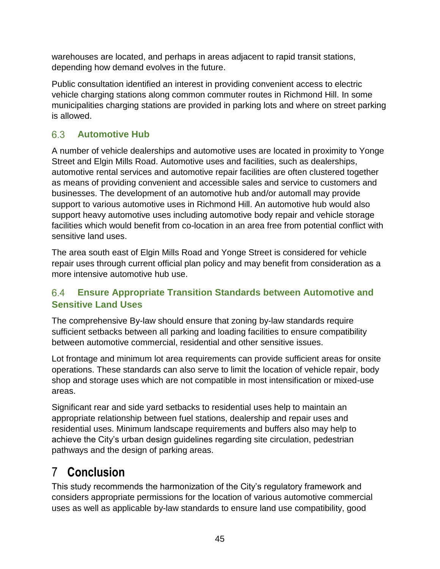warehouses are located, and perhaps in areas adjacent to rapid transit stations, depending how demand evolves in the future.

Public consultation identified an interest in providing convenient access to electric vehicle charging stations along common commuter routes in Richmond Hill. In some municipalities charging stations are provided in parking lots and where on street parking is allowed.

#### <span id="page-47-0"></span>6.3 **Automotive Hub**

A number of vehicle dealerships and automotive uses are located in proximity to Yonge Street and Elgin Mills Road. Automotive uses and facilities, such as dealerships, automotive rental services and automotive repair facilities are often clustered together as means of providing convenient and accessible sales and service to customers and businesses. The development of an automotive hub and/or automall may provide support to various automotive uses in Richmond Hill. An automotive hub would also support heavy automotive uses including automotive body repair and vehicle storage facilities which would benefit from co-location in an area free from potential conflict with sensitive land uses.

The area south east of Elgin Mills Road and Yonge Street is considered for vehicle repair uses through current official plan policy and may benefit from consideration as a more intensive automotive hub use.

#### <span id="page-47-1"></span> $6.4$ **Ensure Appropriate Transition Standards between Automotive and Sensitive Land Uses**

The comprehensive By-law should ensure that zoning by-law standards require sufficient setbacks between all parking and loading facilities to ensure compatibility between automotive commercial, residential and other sensitive issues.

Lot frontage and minimum lot area requirements can provide sufficient areas for onsite operations. These standards can also serve to limit the location of vehicle repair, body shop and storage uses which are not compatible in most intensification or mixed-use areas.

Significant rear and side yard setbacks to residential uses help to maintain an appropriate relationship between fuel stations, dealership and repair uses and residential uses. Minimum landscape requirements and buffers also may help to achieve the City's urban design guidelines regarding site circulation, pedestrian pathways and the design of parking areas.

# <span id="page-47-2"></span>7 **Conclusion**

This study recommends the harmonization of the City's regulatory framework and considers appropriate permissions for the location of various automotive commercial uses as well as applicable by-law standards to ensure land use compatibility, good